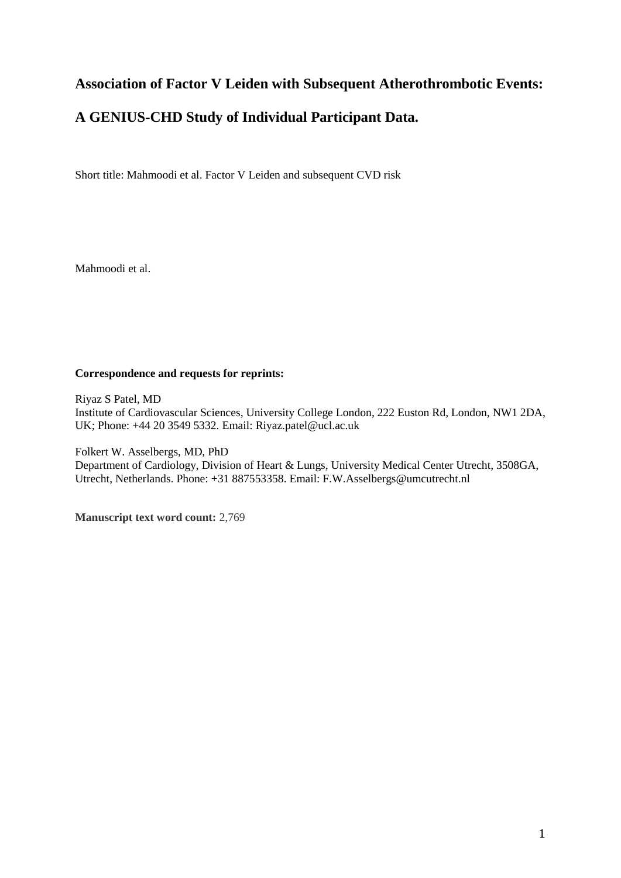# **Association of Factor V Leiden with Subsequent Atherothrombotic Events:**

# **A GENIUS-CHD Study of Individual Participant Data.**

Short title: Mahmoodi et al. Factor V Leiden and subsequent CVD risk

Mahmoodi et al.

## **Correspondence and requests for reprints:**

Riyaz S Patel, MD Institute of Cardiovascular Sciences, University College London, 222 Euston Rd, London, NW1 2DA, UK; Phone: +44 20 3549 5332. Email: Riyaz.patel@ucl.ac.uk

Folkert W. Asselbergs, MD, PhD Department of Cardiology, Division of Heart & Lungs, University Medical Center Utrecht, 3508GA, Utrecht, Netherlands. Phone: +31 887553358. Email: F.W.Asselbergs@umcutrecht.nl

**Manuscript text word count:** 2,769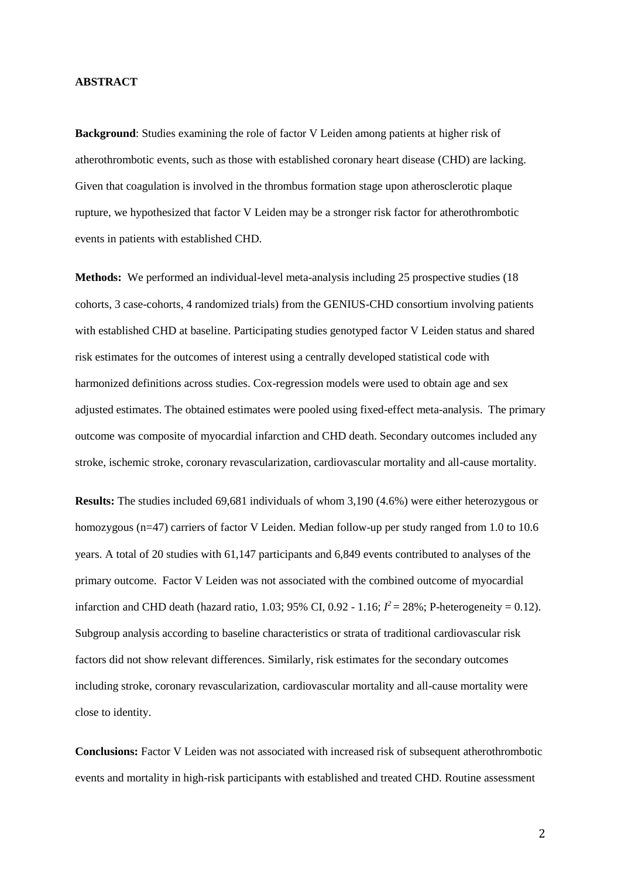#### **ABSTRACT**

**Background**: Studies examining the role of factor V Leiden among patients at higher risk of atherothrombotic events, such as those with established coronary heart disease (CHD) are lacking. Given that coagulation is involved in the thrombus formation stage upon atherosclerotic plaque rupture, we hypothesized that factor V Leiden may be a stronger risk factor for atherothrombotic events in patients with established CHD.

**Methods:** We performed an individual-level meta-analysis including 25 prospective studies (18) cohorts, 3 case-cohorts, 4 randomized trials) from the GENIUS-CHD consortium involving patients with established CHD at baseline. Participating studies genotyped factor V Leiden status and shared risk estimates for the outcomes of interest using a centrally developed statistical code with harmonized definitions across studies. Cox-regression models were used to obtain age and sex adjusted estimates. The obtained estimates were pooled using fixed-effect meta-analysis. The primary outcome was composite of myocardial infarction and CHD death. Secondary outcomes included any stroke, ischemic stroke, coronary revascularization, cardiovascular mortality and all-cause mortality.

**Results:** The studies included 69,681 individuals of whom 3,190 (4.6%) were either heterozygous or homozygous (n=47) carriers of factor V Leiden. Median follow-up per study ranged from 1.0 to 10.6 years. A total of 20 studies with 61,147 participants and 6,849 events contributed to analyses of the primary outcome. Factor V Leiden was not associated with the combined outcome of myocardial infarction and CHD death (hazard ratio, 1.03; 95% CI, 0.92 - 1.16;  $I^2 = 28\%$ ; P-heterogeneity = 0.12). Subgroup analysis according to baseline characteristics or strata of traditional cardiovascular risk factors did not show relevant differences. Similarly, risk estimates for the secondary outcomes including stroke, coronary revascularization, cardiovascular mortality and all-cause mortality were close to identity.

**Conclusions:** Factor V Leiden was not associated with increased risk of subsequent atherothrombotic events and mortality in high-risk participants with established and treated CHD. Routine assessment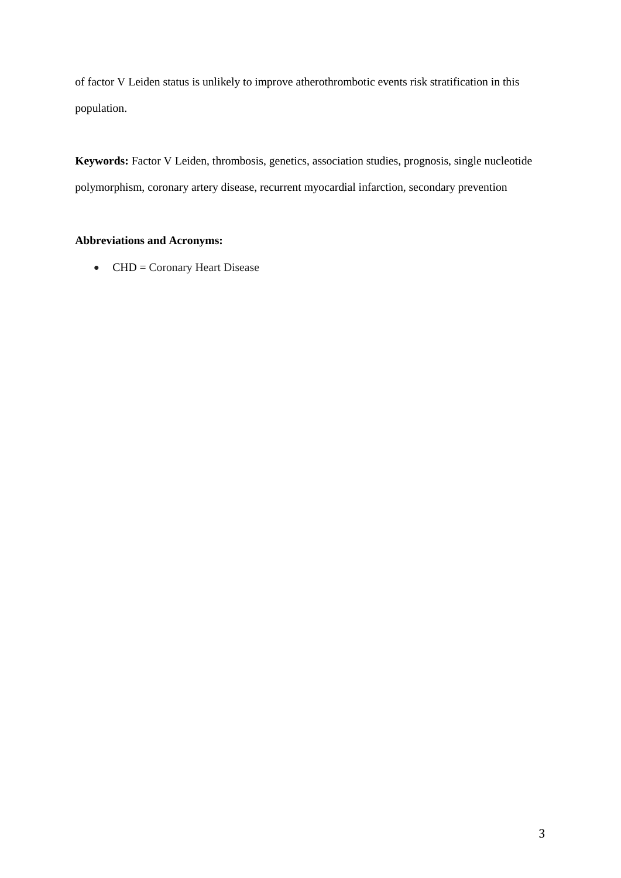of factor V Leiden status is unlikely to improve atherothrombotic events risk stratification in this population.

**Keywords:** Factor V Leiden, thrombosis, genetics, association studies, prognosis, single nucleotide polymorphism, coronary artery disease, recurrent myocardial infarction, secondary prevention

# **Abbreviations and Acronyms:**

 $\bullet$  CHD = Coronary Heart Disease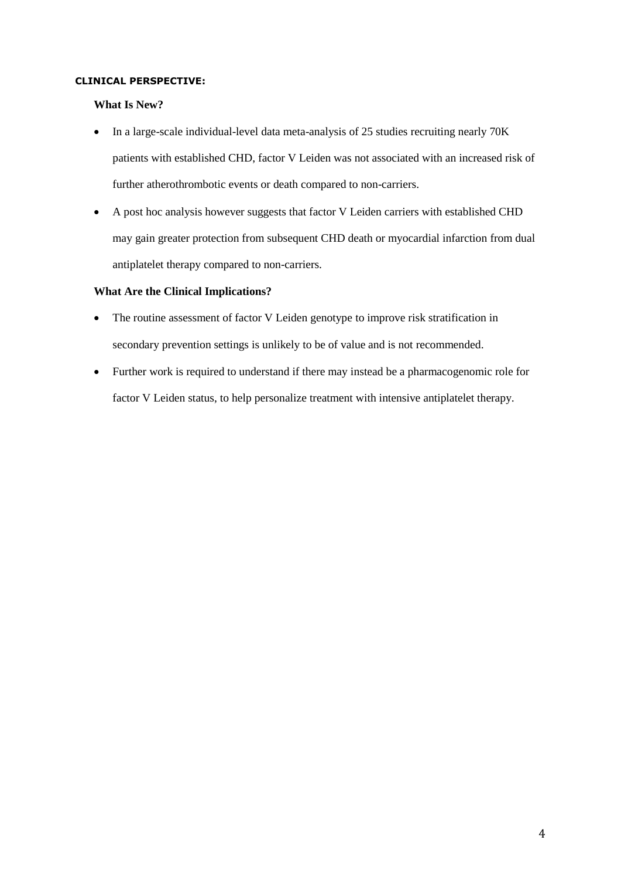## **CLINICAL PERSPECTIVE:**

## **What Is New?**

- In a large-scale individual-level data meta-analysis of 25 studies recruiting nearly 70K patients with established CHD, factor V Leiden was not associated with an increased risk of further atherothrombotic events or death compared to non-carriers.
- A post hoc analysis however suggests that factor V Leiden carriers with established CHD may gain greater protection from subsequent CHD death or myocardial infarction from dual antiplatelet therapy compared to non-carriers.

## **What Are the Clinical Implications?**

- The routine assessment of factor V Leiden genotype to improve risk stratification in secondary prevention settings is unlikely to be of value and is not recommended.
- Further work is required to understand if there may instead be a pharmacogenomic role for factor V Leiden status, to help personalize treatment with intensive antiplatelet therapy.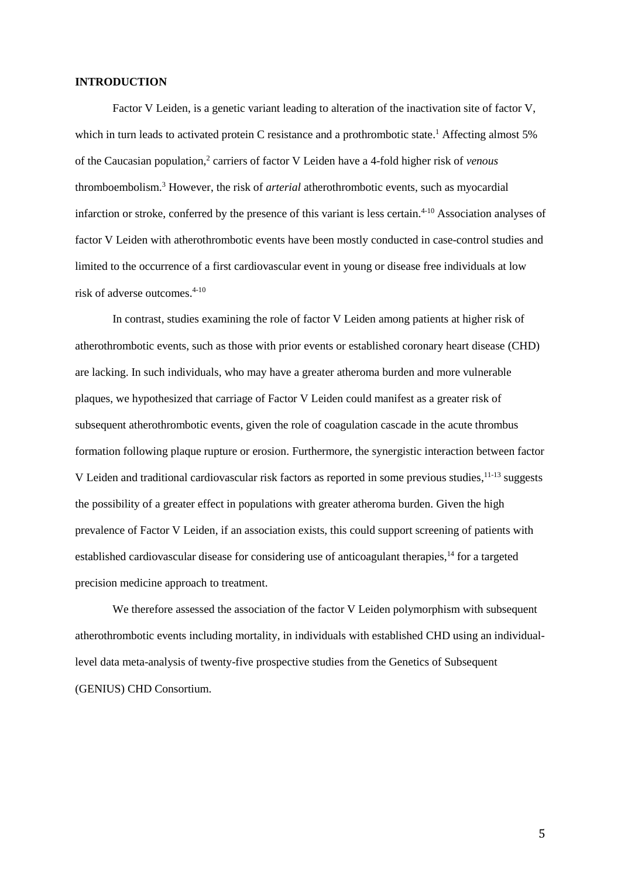#### **INTRODUCTION**

Factor V Leiden, is a genetic variant leading to alteration of the inactivation site of factor V, which in turn leads to activated protein C resistance and a prothrombotic state[.](#page-19-0)<sup>1</sup> Affecting almost 5% of the Caucasian population,<sup>[2](#page-19-1)</sup> carriers of factor V Leiden have a 4-fold higher risk of *venous* thromboembolism[.](#page-19-2)<sup>3</sup> However, the risk of *arterial* atherothrombotic events, such as myocardial infarction or stroke, conferred by the presence of this variant is less certain. [4-10](#page-19-3) Association analyses of factor V Leiden with atherothrombotic events have been mostly conducted in case-control studies and limited to the occurrence of a first cardiovascular event in young or disease free individuals at low risk of adverse outcomes. [4-10](#page-19-3)

In contrast, studies examining the role of factor V Leiden among patients at higher risk of atherothrombotic events, such as those with prior events or established coronary heart disease (CHD) are lacking. In such individuals, who may have a greater atheroma burden and more vulnerable plaques, we hypothesized that carriage of Factor V Leiden could manifest as a greater risk of subsequent atherothrombotic events, given the role of coagulation cascade in the acute thrombus formation following plaque rupture or erosion. Furthermore, the synergistic interaction between factor V Leiden and traditional cardiovascular risk factors as reported in some previous studies, [11-13](#page-20-0) suggests the possibility of a greater effect in populations with greater atheroma burden. Given the high prevalence of Factor V Leiden, if an association exists, this could support screening of patients with established cardiovascular disease for considering use of anticoagulant therapies,<sup>[14](#page-20-1)</sup> for a targeted precision medicine approach to treatment.

We therefore assessed the association of the factor V Leiden polymorphism with subsequent atherothrombotic events including mortality, in individuals with established CHD using an individuallevel data meta-analysis of twenty-five prospective studies from the Genetics of Subsequent (GENIUS) CHD Consortium.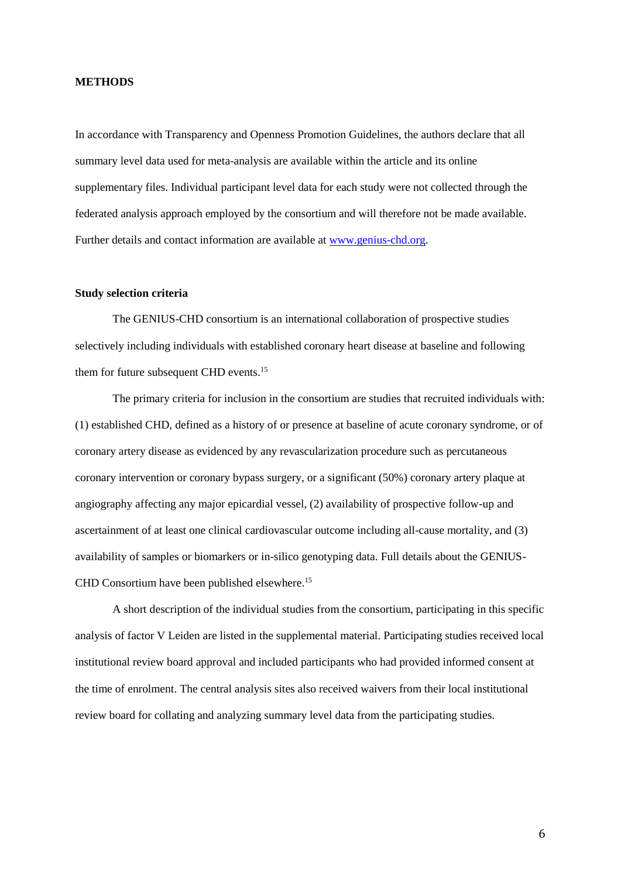#### **METHODS**

In accordance with Transparency and Openness Promotion Guidelines, the authors declare that all summary level data used for meta-analysis are available within the article and its online supplementary files. Individual participant level data for each study were not collected through the federated analysis approach employed by the consortium and will therefore not be made available. Further details and contact information are available at [www.genius-chd.org.](http://www.genius-chd.org/)

### **Study selection criteria**

The GENIUS-CHD consortium is an international collaboration of prospective studies selectively including individuals with established coronary heart disease at baseline and following them for future subsequent CHD events.<sup>[15](#page-21-0)</sup>

The primary criteria for inclusion in the consortium are studies that recruited individuals with: (1) established CHD, defined as a history of or presence at baseline of acute coronary syndrome, or of coronary artery disease as evidenced by any revascularization procedure such as percutaneous coronary intervention or coronary bypass surgery, or a significant (50%) coronary artery plaque at angiography affecting any major epicardial vessel, (2) availability of prospective follow-up and ascertainment of at least one clinical cardiovascular outcome including all-cause mortality, and (3) availability of samples or biomarkers or in-silico genotyping data. Full details about the GENIUS-CHD Consortium have been published elsewhere. [15](#page-21-0)

A short description of the individual studies from the consortium, participating in this specific analysis of factor V Leiden are listed in the supplemental material. Participating studies received local institutional review board approval and included participants who had provided informed consent at the time of enrolment. The central analysis sites also received waivers from their local institutional review board for collating and analyzing summary level data from the participating studies.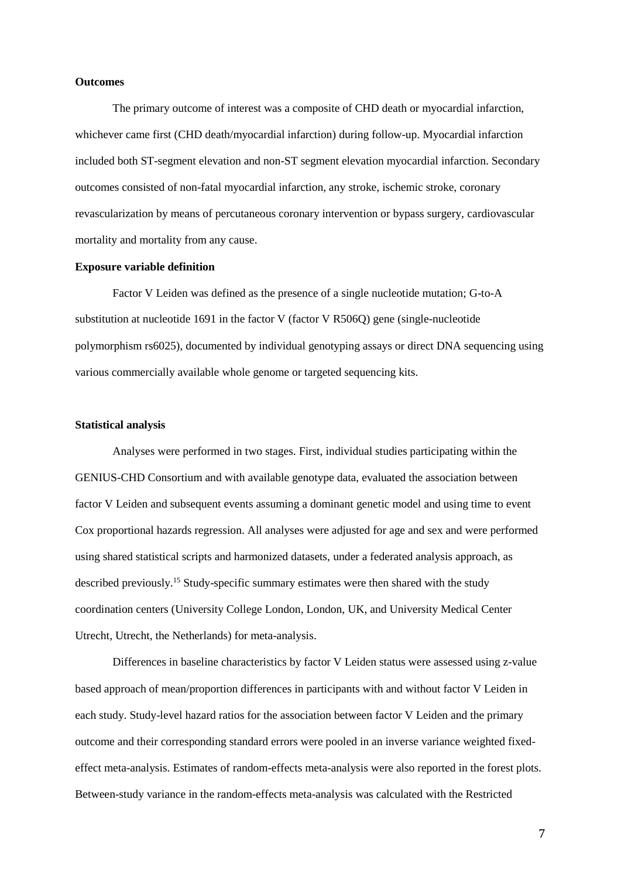#### **Outcomes**

The primary outcome of interest was a composite of CHD death or myocardial infarction, whichever came first (CHD death/myocardial infarction) during follow-up. Myocardial infarction included both ST-segment elevation and non-ST segment elevation myocardial infarction. Secondary outcomes consisted of non-fatal myocardial infarction, any stroke, ischemic stroke, coronary revascularization by means of percutaneous coronary intervention or bypass surgery, cardiovascular mortality and mortality from any cause.

#### **Exposure variable definition**

Factor V Leiden was defined as the presence of a single nucleotide mutation; G-to-A substitution at nucleotide 1691 in the factor V (factor V R506Q) gene (single-nucleotide polymorphism rs6025), documented by individual genotyping assays or direct DNA sequencing using various commercially available whole genome or targeted sequencing kits.

#### **Statistical analysis**

Analyses were performed in two stages. First, individual studies participating within the GENIUS-CHD Consortium and with available genotype data, evaluated the association between factor V Leiden and subsequent events assuming a dominant genetic model and using time to event Cox proportional hazards regression. All analyses were adjusted for age and sex and were performed using shared statistical scripts and harmonized datasets, under a federated analysis approach, as described previously.[15](#page-21-0) Study-specific summary estimates were then shared with the study coordination centers (University College London, London, UK, and University Medical Center Utrecht, Utrecht, the Netherlands) for meta-analysis.

Differences in baseline characteristics by factor V Leiden status were assessed using z-value based approach of mean/proportion differences in participants with and without factor V Leiden in each study. Study-level hazard ratios for the association between factor V Leiden and the primary outcome and their corresponding standard errors were pooled in an inverse variance weighted fixedeffect meta-analysis. Estimates of random-effects meta-analysis were also reported in the forest plots. Between-study variance in the random-effects meta-analysis was calculated with the Restricted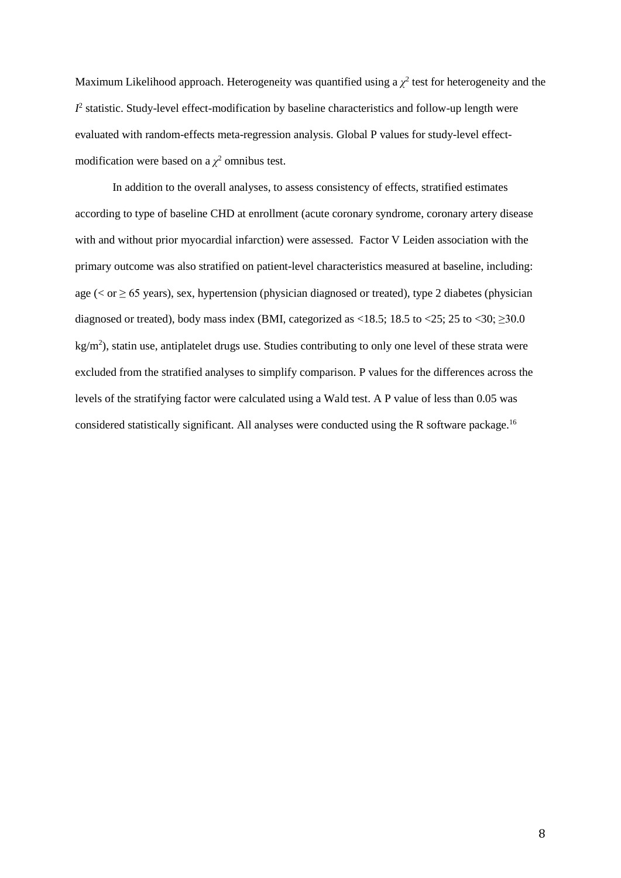Maximum Likelihood approach. Heterogeneity was quantified using a  $\chi^2$  test for heterogeneity and the  $I<sup>2</sup>$  statistic. Study-level effect-modification by baseline characteristics and follow-up length were evaluated with random-effects meta-regression analysis. Global P values for study-level effectmodification were based on a  $\chi^2$  omnibus test.

In addition to the overall analyses, to assess consistency of effects, stratified estimates according to type of baseline CHD at enrollment (acute coronary syndrome, coronary artery disease with and without prior myocardial infarction) were assessed. Factor V Leiden association with the primary outcome was also stratified on patient-level characteristics measured at baseline, including: age ( $\lt$  or  $\geq$  65 years), sex, hypertension (physician diagnosed or treated), type 2 diabetes (physician diagnosed or treated), body mass index (BMI, categorized as <18.5; 18.5 to <25; 25 to <30;  $\geq$ 30.0  $kg/m<sup>2</sup>$ ), statin use, antiplatelet drugs use. Studies contributing to only one level of these strata were excluded from the stratified analyses to simplify comparison. P values for the differences across the levels of the stratifying factor were calculated using a Wald test. A P value of less than 0.05 was considered statistically significant. All analyses were conducted using the R software package.<sup>[16](#page-21-1)</sup>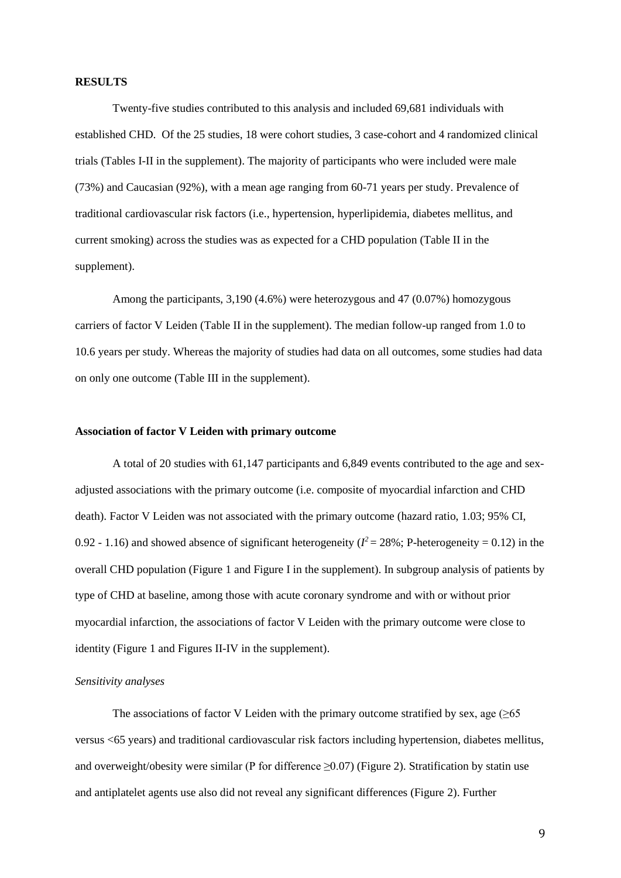#### **RESULTS**

Twenty-five studies contributed to this analysis and included 69,681 individuals with established CHD. Of the 25 studies, 18 were cohort studies, 3 case-cohort and 4 randomized clinical trials (Tables I-II in the supplement). The majority of participants who were included were male (73%) and Caucasian (92%), with a mean age ranging from 60-71 years per study. Prevalence of traditional cardiovascular risk factors (i.e., hypertension, hyperlipidemia, diabetes mellitus, and current smoking) across the studies was as expected for a CHD population (Table II in the supplement).

Among the participants, 3,190 (4.6%) were heterozygous and 47 (0.07%) homozygous carriers of factor V Leiden (Table II in the supplement). The median follow-up ranged from 1.0 to 10.6 years per study. Whereas the majority of studies had data on all outcomes, some studies had data on only one outcome (Table III in the supplement).

#### **Association of factor V Leiden with primary outcome**

A total of 20 studies with 61,147 participants and 6,849 events contributed to the age and sexadjusted associations with the primary outcome (i.e. composite of myocardial infarction and CHD death). Factor V Leiden was not associated with the primary outcome (hazard ratio, 1.03; 95% CI, 0.92 - 1.16) and showed absence of significant heterogeneity ( $l^2 = 28\%$ ; P-heterogeneity = 0.12) in the overall CHD population (Figure 1 and Figure I in the supplement). In subgroup analysis of patients by type of CHD at baseline, among those with acute coronary syndrome and with or without prior myocardial infarction, the associations of factor V Leiden with the primary outcome were close to identity (Figure 1 and Figures II-IV in the supplement).

#### *Sensitivity analyses*

The associations of factor V Leiden with the primary outcome stratified by sex, age ( $\geq 65$ ) versus <65 years) and traditional cardiovascular risk factors including hypertension, diabetes mellitus, and overweight/obesity were similar (P for difference  $\geq 0.07$ ) (Figure 2). Stratification by statin use and antiplatelet agents use also did not reveal any significant differences (Figure 2). Further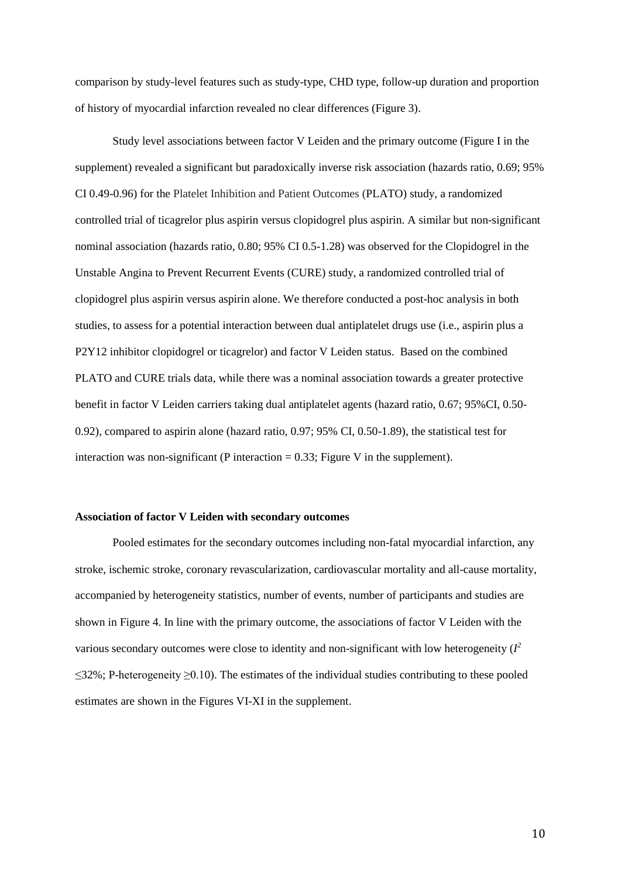comparison by study-level features such as study-type, CHD type, follow-up duration and proportion of history of myocardial infarction revealed no clear differences (Figure 3).

Study level associations between factor V Leiden and the primary outcome (Figure I in the supplement) revealed a significant but paradoxically inverse risk association (hazards ratio, 0.69; 95% CI 0.49-0.96) for the Platelet Inhibition and Patient Outcomes (PLATO) study, a randomized controlled trial of ticagrelor plus aspirin versus clopidogrel plus aspirin. A similar but non-significant nominal association (hazards ratio, 0.80; 95% CI 0.5-1.28) was observed for the Clopidogrel in the Unstable Angina to Prevent Recurrent Events (CURE) study, a randomized controlled trial of clopidogrel plus aspirin versus aspirin alone. We therefore conducted a post-hoc analysis in both studies, to assess for a potential interaction between dual antiplatelet drugs use (i.e., aspirin plus a P2Y12 inhibitor clopidogrel or ticagrelor) and factor V Leiden status. Based on the combined PLATO and CURE trials data, while there was a nominal association towards a greater protective benefit in factor V Leiden carriers taking dual antiplatelet agents (hazard ratio, 0.67; 95%CI, 0.50- 0.92), compared to aspirin alone (hazard ratio, 0.97; 95% CI, 0.50-1.89), the statistical test for interaction was non-significant (P interaction  $= 0.33$ ; Figure V in the supplement).

#### **Association of factor V Leiden with secondary outcomes**

Pooled estimates for the secondary outcomes including non-fatal myocardial infarction, any stroke, ischemic stroke, coronary revascularization, cardiovascular mortality and all-cause mortality, accompanied by heterogeneity statistics, number of events, number of participants and studies are shown in Figure 4. In line with the primary outcome, the associations of factor V Leiden with the various secondary outcomes were close to identity and non-significant with low heterogeneity  $(I^2)$  $\leq$ 32%; P-heterogeneity  $\geq$ 0.10). The estimates of the individual studies contributing to these pooled estimates are shown in the Figures VI-XI in the supplement.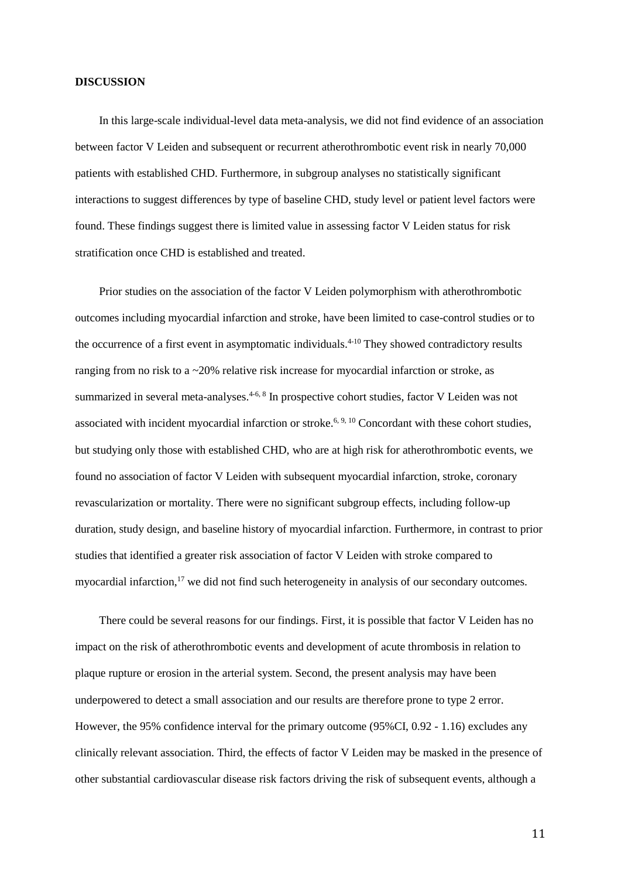#### **DISCUSSION**

In this large-scale individual-level data meta-analysis, we did not find evidence of an association between factor V Leiden and subsequent or recurrent atherothrombotic event risk in nearly 70,000 patients with established CHD. Furthermore, in subgroup analyses no statistically significant interactions to suggest differences by type of baseline CHD, study level or patient level factors were found. These findings suggest there is limited value in assessing factor V Leiden status for risk stratification once CHD is established and treated.

Prior studies on the association of the factor V Leiden polymorphism with atherothrombotic outcomes including myocardial infarction and stroke, have been limited to case-control studies or to the occurrence of a first event in asymptomatic individuals. [4-10](#page-19-3) They showed contradictory results ranging from no risk to a ~20% relative risk increase for myocardial infarction or stroke, as summarized in several meta-analyses.<sup>[4-6,](#page-19-3) [8](#page-20-2)</sup> In prospective cohort studies, factor V Leiden was not associated with incident myocardial infarction or stroke.<sup> $6, 9, 10$  $6, 9, 10$  $6, 9, 10$ </sup> Concordant with these cohort studies, but studying only those with established CHD, who are at high risk for atherothrombotic events, we found no association of factor V Leiden with subsequent myocardial infarction, stroke, coronary revascularization or mortality. There were no significant subgroup effects, including follow-up duration, study design, and baseline history of myocardial infarction. Furthermore, in contrast to prior studies that identified a greater risk association of factor V Leiden with stroke compared to myocardial infarction,<sup>[17](#page-21-2)</sup> we did not find such heterogeneity in analysis of our secondary outcomes.

There could be several reasons for our findings. First, it is possible that factor V Leiden has no impact on the risk of atherothrombotic events and development of acute thrombosis in relation to plaque rupture or erosion in the arterial system. Second, the present analysis may have been underpowered to detect a small association and our results are therefore prone to type 2 error. However, the 95% confidence interval for the primary outcome (95%CI, 0.92 - 1.16) excludes any clinically relevant association. Third, the effects of factor V Leiden may be masked in the presence of other substantial cardiovascular disease risk factors driving the risk of subsequent events, although a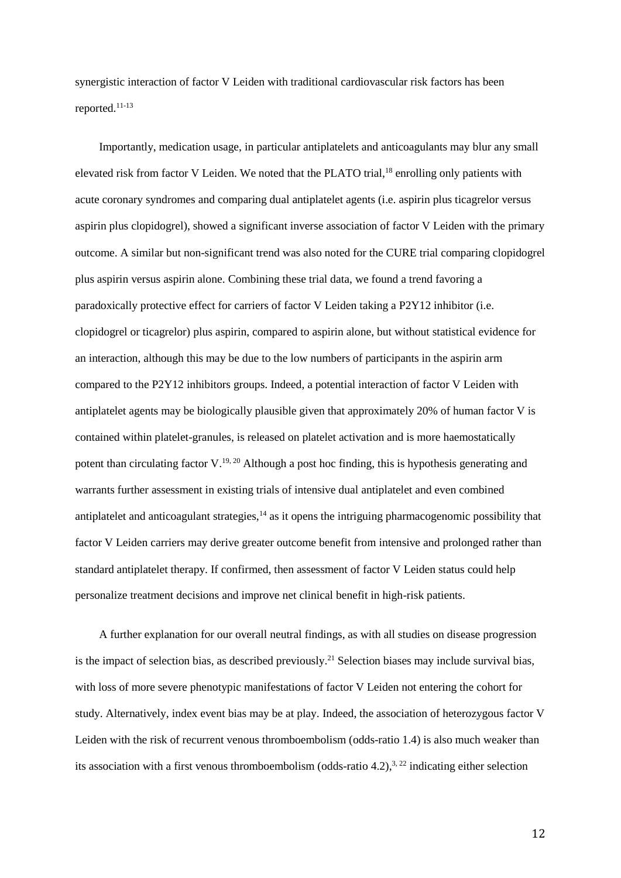synergistic interaction of factor V Leiden with traditional cardiovascular risk factors has been reported. [11-13](#page-20-0)

Importantly, medication usage, in particular antiplatelets and anticoagulants may blur any small elevated risk from factor V Leiden. We noted that the PLATO trial,<sup>[18](#page-21-3)</sup> enrolling only patients with acute coronary syndromes and comparing dual antiplatelet agents (i.e. aspirin plus ticagrelor versus aspirin plus clopidogrel), showed a significant inverse association of factor V Leiden with the primary outcome. A similar but non-significant trend was also noted for the CURE trial comparing clopidogrel plus aspirin versus aspirin alone. Combining these trial data, we found a trend favoring a paradoxically protective effect for carriers of factor V Leiden taking a P2Y12 inhibitor (i.e. clopidogrel or ticagrelor) plus aspirin, compared to aspirin alone, but without statistical evidence for an interaction, although this may be due to the low numbers of participants in the aspirin arm compared to the P2Y12 inhibitors groups. Indeed, a potential interaction of factor V Leiden with antiplatelet agents may be biologically plausible given that approximately 20% of human factor V is contained within platelet-granules, is released on platelet activation and is more haemostatically potent than circulating factor  $V^{19, 20}$  $V^{19, 20}$  $V^{19, 20}$  $V^{19, 20}$ . Although a post hoc finding, this is hypothesis generating and warrants further assessment in existing trials of intensive dual antiplatelet and even combined antiplatelet and anticoagulant strategies, $14$  as it opens the intriguing pharmacogenomic possibility that factor V Leiden carriers may derive greater outcome benefit from intensive and prolonged rather than standard antiplatelet therapy. If confirmed, then assessment of factor V Leiden status could help personalize treatment decisions and improve net clinical benefit in high-risk patients.

A further explanation for our overall neutral findings, as with all studies on disease progression is the impact of selection bias, as described previously.<sup>[21](#page-21-6)</sup> Selection biases may include survival bias, with loss of more severe phenotypic manifestations of factor V Leiden not entering the cohort for study. Alternatively, index event bias may be at play. Indeed, the association of heterozygous factor V Leiden with the risk of recurrent venous thromboembolism (odds-ratio 1.4) is also much weaker than its association with a first venous thromboembolism (odds-ratio 4.2),<sup>[3,](#page-19-2) [22](#page-21-7)</sup> indicating either selection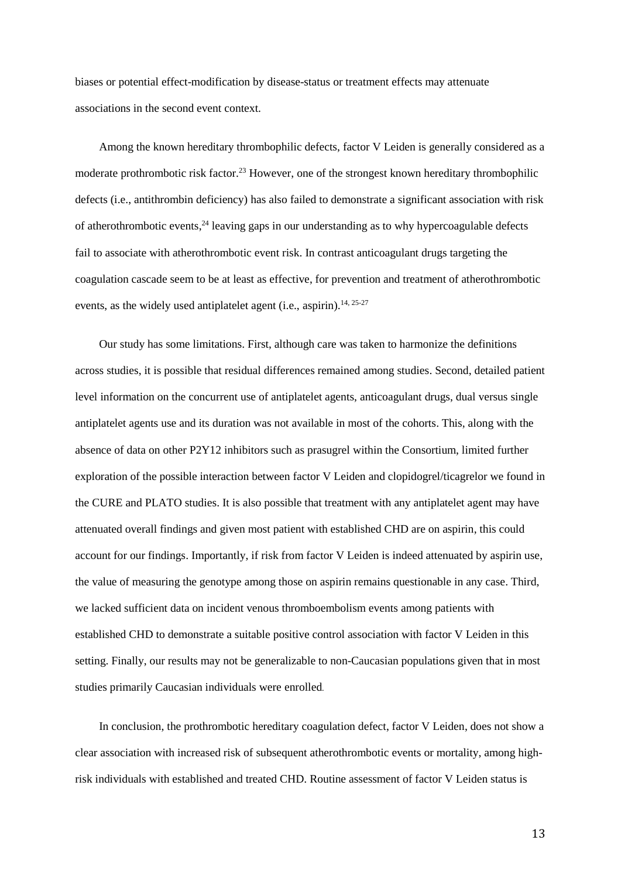biases or potential effect-modification by disease-status or treatment effects may attenuate associations in the second event context.

Among the known hereditary thrombophilic defects, factor V Leiden is generally considered as a moderate prothrombotic risk factor.<sup>[23](#page-21-8)</sup> However, one of the strongest known hereditary thrombophilic defects (i.e., antithrombin deficiency) has also failed to demonstrate a significant association with risk of atherothrombotic events, [24](#page-22-0) leaving gaps in our understanding as to why hypercoagulable defects fail to associate with atherothrombotic event risk. In contrast anticoagulant drugs targeting the coagulation cascade seem to be at least as effective, for prevention and treatment of atherothrombotic events, as the widely used antiplatelet agent (i.e., aspirin).<sup>[14,](#page-20-1) [25-27](#page-22-1)</sup>

Our study has some limitations. First, although care was taken to harmonize the definitions across studies, it is possible that residual differences remained among studies. Second, detailed patient level information on the concurrent use of antiplatelet agents, anticoagulant drugs, dual versus single antiplatelet agents use and its duration was not available in most of the cohorts. This, along with the absence of data on other P2Y12 inhibitors such as prasugrel within the Consortium, limited further exploration of the possible interaction between factor V Leiden and clopidogrel/ticagrelor we found in the CURE and PLATO studies. It is also possible that treatment with any antiplatelet agent may have attenuated overall findings and given most patient with established CHD are on aspirin, this could account for our findings. Importantly, if risk from factor V Leiden is indeed attenuated by aspirin use, the value of measuring the genotype among those on aspirin remains questionable in any case. Third, we lacked sufficient data on incident venous thromboembolism events among patients with established CHD to demonstrate a suitable positive control association with factor V Leiden in this setting. Finally, our results may not be generalizable to non-Caucasian populations given that in most studies primarily Caucasian individuals were enrolled.

In conclusion, the prothrombotic hereditary coagulation defect, factor V Leiden, does not show a clear association with increased risk of subsequent atherothrombotic events or mortality, among highrisk individuals with established and treated CHD. Routine assessment of factor V Leiden status is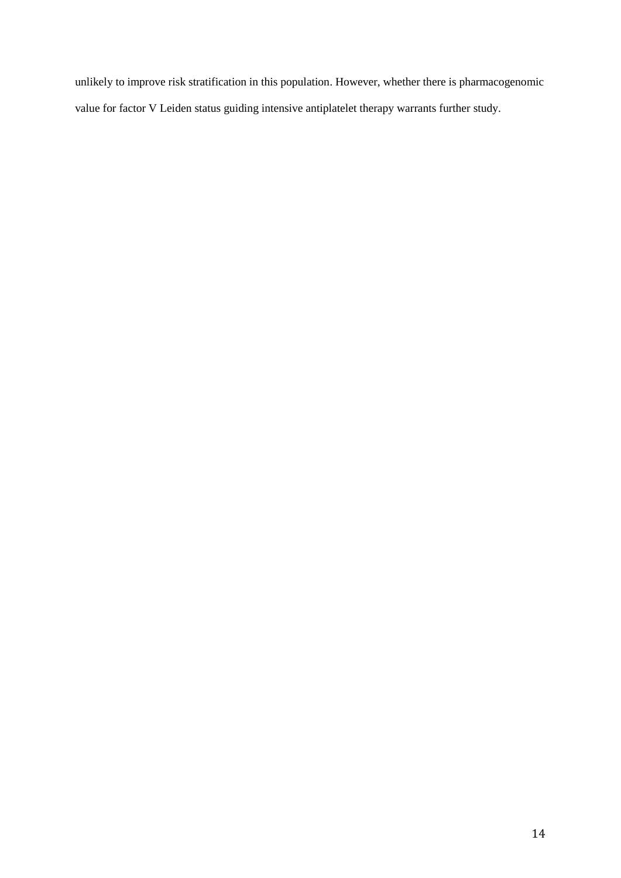unlikely to improve risk stratification in this population. However, whether there is pharmacogenomic value for factor V Leiden status guiding intensive antiplatelet therapy warrants further study.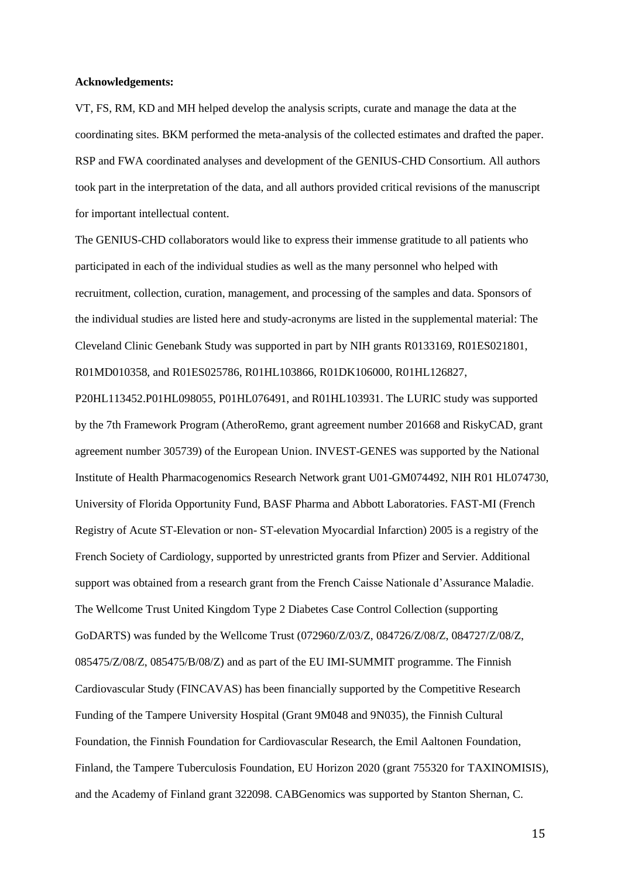#### **Acknowledgements:**

VT, FS, RM, KD and MH helped develop the analysis scripts, curate and manage the data at the coordinating sites. BKM performed the meta-analysis of the collected estimates and drafted the paper. RSP and FWA coordinated analyses and development of the GENIUS-CHD Consortium. All authors took part in the interpretation of the data, and all authors provided critical revisions of the manuscript for important intellectual content.

The GENIUS-CHD collaborators would like to express their immense gratitude to all patients who participated in each of the individual studies as well as the many personnel who helped with recruitment, collection, curation, management, and processing of the samples and data. Sponsors of the individual studies are listed here and study-acronyms are listed in the supplemental material: The Cleveland Clinic Genebank Study was supported in part by NIH grants R0133169, R01ES021801, R01MD010358, and R01ES025786, R01HL103866, R01DK106000, R01HL126827,

P20HL113452.P01HL098055, P01HL076491, and R01HL103931. The LURIC study was supported by the 7th Framework Program (AtheroRemo, grant agreement number 201668 and RiskyCAD, grant agreement number 305739) of the European Union. INVEST-GENES was supported by the National Institute of Health Pharmacogenomics Research Network grant U01-GM074492, NIH R01 HL074730, University of Florida Opportunity Fund, BASF Pharma and Abbott Laboratories. FAST-MI (French Registry of Acute ST-Elevation or non- ST-elevation Myocardial Infarction) 2005 is a registry of the French Society of Cardiology, supported by unrestricted grants from Pfizer and Servier. Additional support was obtained from a research grant from the French Caisse Nationale d'Assurance Maladie. The Wellcome Trust United Kingdom Type 2 Diabetes Case Control Collection (supporting GoDARTS) was funded by the Wellcome Trust (072960/Z/03/Z, 084726/Z/08/Z, 084727/Z/08/Z, 085475/Z/08/Z, 085475/B/08/Z) and as part of the EU IMI-SUMMIT programme. The Finnish Cardiovascular Study (FINCAVAS) has been financially supported by the Competitive Research Funding of the Tampere University Hospital (Grant 9M048 and 9N035), the Finnish Cultural Foundation, the Finnish Foundation for Cardiovascular Research, the Emil Aaltonen Foundation, Finland, the Tampere Tuberculosis Foundation, EU Horizon 2020 (grant 755320 for TAXINOMISIS), and the Academy of Finland grant 322098. CABGenomics was supported by Stanton Shernan, C.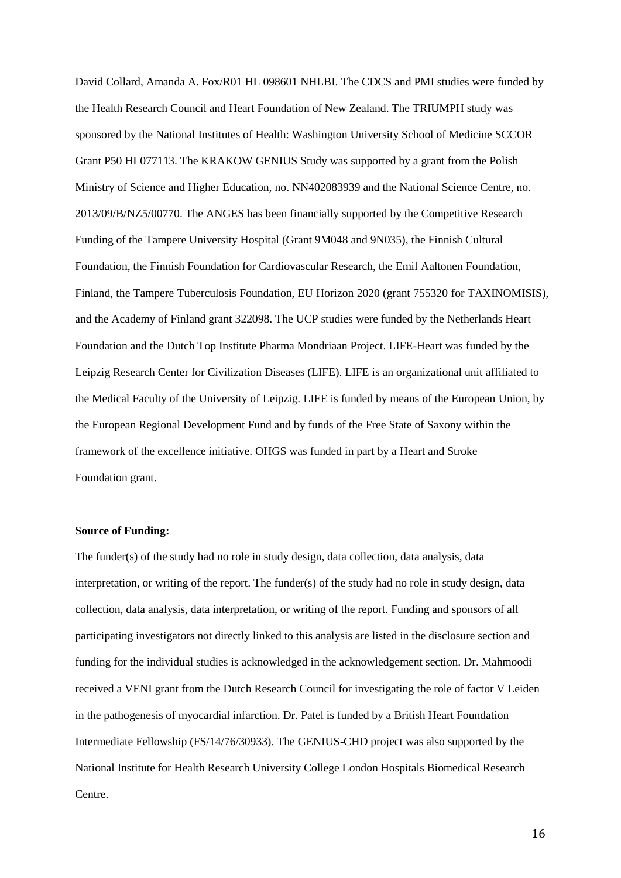David Collard, Amanda A. Fox/R01 HL 098601 NHLBI. The CDCS and PMI studies were funded by the Health Research Council and Heart Foundation of New Zealand. The TRIUMPH study was sponsored by the National Institutes of Health: Washington University School of Medicine SCCOR Grant P50 HL077113. The KRAKOW GENIUS Study was supported by a grant from the Polish Ministry of Science and Higher Education, no. NN402083939 and the National Science Centre, no. 2013/09/B/NZ5/00770. The ANGES has been financially supported by the Competitive Research Funding of the Tampere University Hospital (Grant 9M048 and 9N035), the Finnish Cultural Foundation, the Finnish Foundation for Cardiovascular Research, the Emil Aaltonen Foundation, Finland, the Tampere Tuberculosis Foundation, EU Horizon 2020 (grant 755320 for TAXINOMISIS), and the Academy of Finland grant 322098. The UCP studies were funded by the Netherlands Heart Foundation and the Dutch Top Institute Pharma Mondriaan Project. LIFE-Heart was funded by the Leipzig Research Center for Civilization Diseases (LIFE). LIFE is an organizational unit affiliated to the Medical Faculty of the University of Leipzig. LIFE is funded by means of the European Union, by the European Regional Development Fund and by funds of the Free State of Saxony within the framework of the excellence initiative. OHGS was funded in part by a Heart and Stroke Foundation grant.

### **Source of Funding:**

The funder(s) of the study had no role in study design, data collection, data analysis, data interpretation, or writing of the report. The funder(s) of the study had no role in study design, data collection, data analysis, data interpretation, or writing of the report. Funding and sponsors of all participating investigators not directly linked to this analysis are listed in the disclosure section and funding for the individual studies is acknowledged in the acknowledgement section. Dr. Mahmoodi received a VENI grant from the Dutch Research Council for investigating the role of factor V Leiden in the pathogenesis of myocardial infarction. Dr. Patel is funded by a British Heart Foundation Intermediate Fellowship (FS/14/76/30933). The GENIUS-CHD project was also supported by the National Institute for Health Research University College London Hospitals Biomedical Research Centre.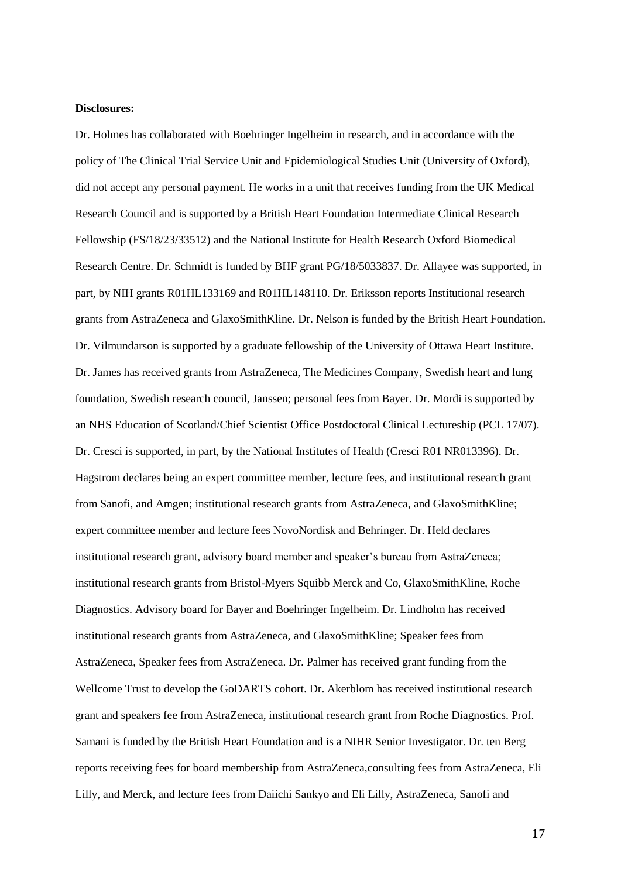#### **Disclosures:**

Dr. Holmes has collaborated with Boehringer Ingelheim in research, and in accordance with the policy of The Clinical Trial Service Unit and Epidemiological Studies Unit (University of Oxford), did not accept any personal payment. He works in a unit that receives funding from the UK Medical Research Council and is supported by a British Heart Foundation Intermediate Clinical Research Fellowship (FS/18/23/33512) and the National Institute for Health Research Oxford Biomedical Research Centre. Dr. Schmidt is funded by BHF grant PG/18/5033837. Dr. Allayee was supported, in part, by NIH grants R01HL133169 and R01HL148110. Dr. Eriksson reports Institutional research grants from AstraZeneca and GlaxoSmithKline. Dr. Nelson is funded by the British Heart Foundation. Dr. Vilmundarson is supported by a graduate fellowship of the University of Ottawa Heart Institute. Dr. James has received grants from AstraZeneca, The Medicines Company, Swedish heart and lung foundation, Swedish research council, Janssen; personal fees from Bayer. Dr. Mordi is supported by an NHS Education of Scotland/Chief Scientist Office Postdoctoral Clinical Lectureship (PCL 17/07). Dr. Cresci is supported, in part, by the National Institutes of Health (Cresci R01 NR013396). Dr. Hagstrom declares being an expert committee member, lecture fees, and institutional research grant from Sanofi, and Amgen; institutional research grants from AstraZeneca, and GlaxoSmithKline; expert committee member and lecture fees NovoNordisk and Behringer. Dr. Held declares institutional research grant, advisory board member and speaker's bureau from AstraZeneca; institutional research grants from Bristol-Myers Squibb Merck and Co, GlaxoSmithKline, Roche Diagnostics. Advisory board for Bayer and Boehringer Ingelheim. Dr. Lindholm has received institutional research grants from AstraZeneca, and GlaxoSmithKline; Speaker fees from AstraZeneca, Speaker fees from AstraZeneca. Dr. Palmer has received grant funding from the Wellcome Trust to develop the GoDARTS cohort. Dr. Akerblom has received institutional research grant and speakers fee from AstraZeneca, institutional research grant from Roche Diagnostics. Prof. Samani is funded by the British Heart Foundation and is a NIHR Senior Investigator. Dr. ten Berg reports receiving fees for board membership from AstraZeneca,consulting fees from AstraZeneca, Eli Lilly, and Merck, and lecture fees from Daiichi Sankyo and Eli Lilly, AstraZeneca, Sanofi and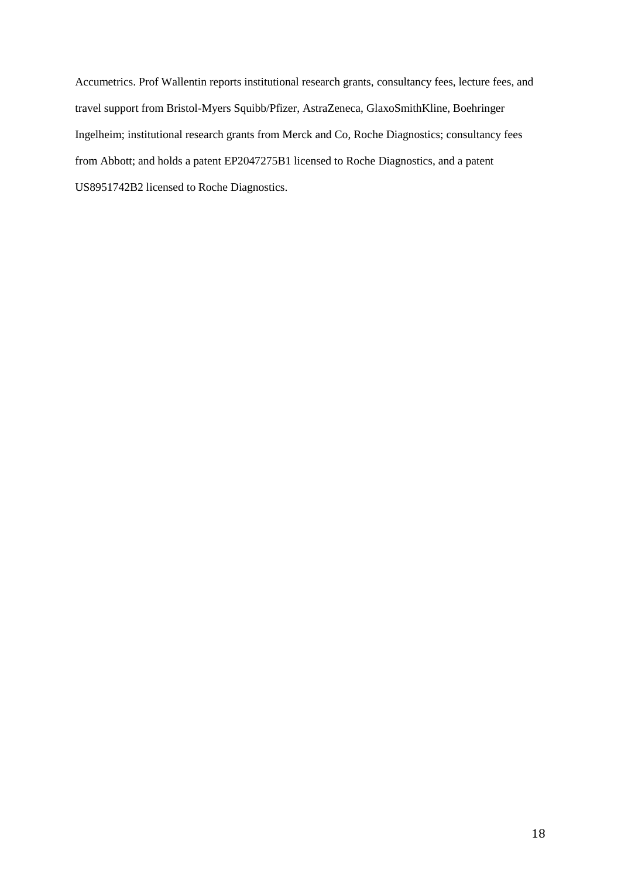Accumetrics. Prof Wallentin reports institutional research grants, consultancy fees, lecture fees, and travel support from Bristol-Myers Squibb/Pfizer, AstraZeneca, GlaxoSmithKline, Boehringer Ingelheim; institutional research grants from Merck and Co, Roche Diagnostics; consultancy fees from Abbott; and holds a patent EP2047275B1 licensed to Roche Diagnostics, and a patent US8951742B2 licensed to Roche Diagnostics.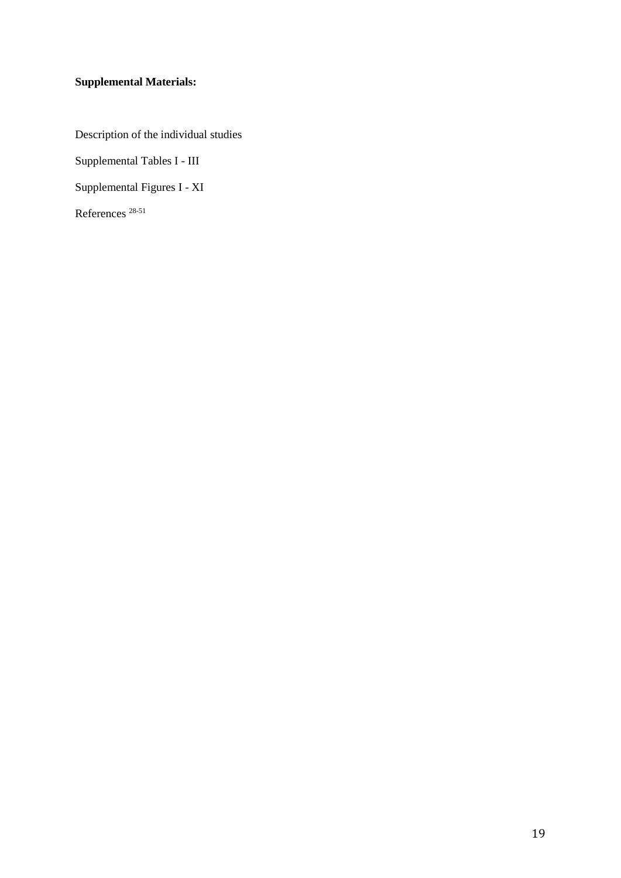# **Supplemental Materials:**

Description of the individual studies

Supplemental Tables I - III

Supplemental Figures I - XI

References [28-51](#page-22-2)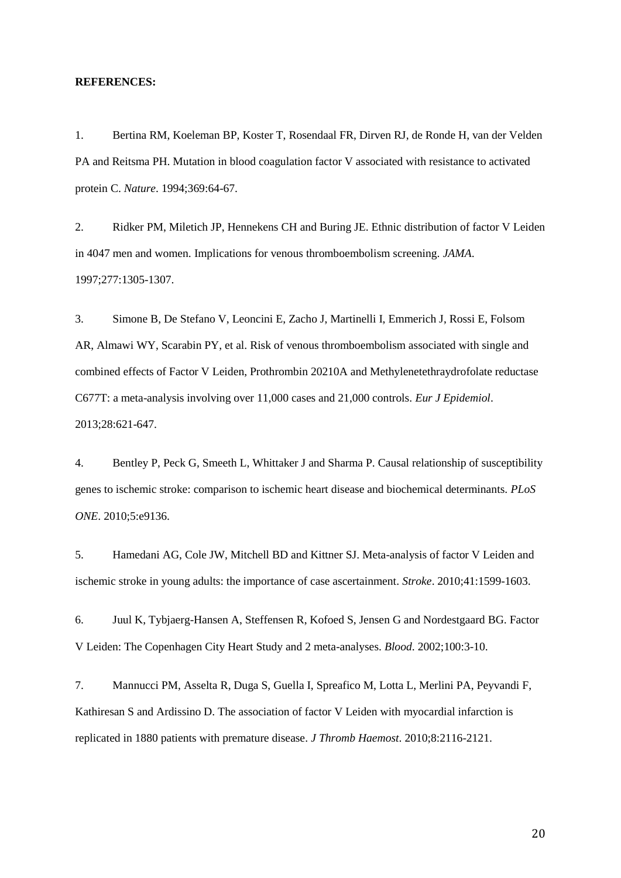#### **REFERENCES:**

<span id="page-19-0"></span>1. Bertina RM, Koeleman BP, Koster T, Rosendaal FR, Dirven RJ, de Ronde H, van der Velden PA and Reitsma PH. Mutation in blood coagulation factor V associated with resistance to activated protein C. *Nature*. 1994;369:64-67.

<span id="page-19-1"></span>2. Ridker PM, Miletich JP, Hennekens CH and Buring JE. Ethnic distribution of factor V Leiden in 4047 men and women. Implications for venous thromboembolism screening. *JAMA*. 1997;277:1305-1307.

<span id="page-19-2"></span>3. Simone B, De Stefano V, Leoncini E, Zacho J, Martinelli I, Emmerich J, Rossi E, Folsom AR, Almawi WY, Scarabin PY, et al. Risk of venous thromboembolism associated with single and combined effects of Factor V Leiden, Prothrombin 20210A and Methylenetethraydrofolate reductase C677T: a meta-analysis involving over 11,000 cases and 21,000 controls. *Eur J Epidemiol*. 2013;28:621-647.

<span id="page-19-3"></span>4. Bentley P, Peck G, Smeeth L, Whittaker J and Sharma P. Causal relationship of susceptibility genes to ischemic stroke: comparison to ischemic heart disease and biochemical determinants. *PLoS ONE*. 2010;5:e9136.

5. Hamedani AG, Cole JW, Mitchell BD and Kittner SJ. Meta-analysis of factor V Leiden and ischemic stroke in young adults: the importance of case ascertainment. *Stroke*. 2010;41:1599-1603.

<span id="page-19-4"></span>6. Juul K, Tybjaerg-Hansen A, Steffensen R, Kofoed S, Jensen G and Nordestgaard BG. Factor V Leiden: The Copenhagen City Heart Study and 2 meta-analyses. *Blood*. 2002;100:3-10.

7. Mannucci PM, Asselta R, Duga S, Guella I, Spreafico M, Lotta L, Merlini PA, Peyvandi F, Kathiresan S and Ardissino D. The association of factor V Leiden with myocardial infarction is replicated in 1880 patients with premature disease. *J Thromb Haemost*. 2010;8:2116-2121.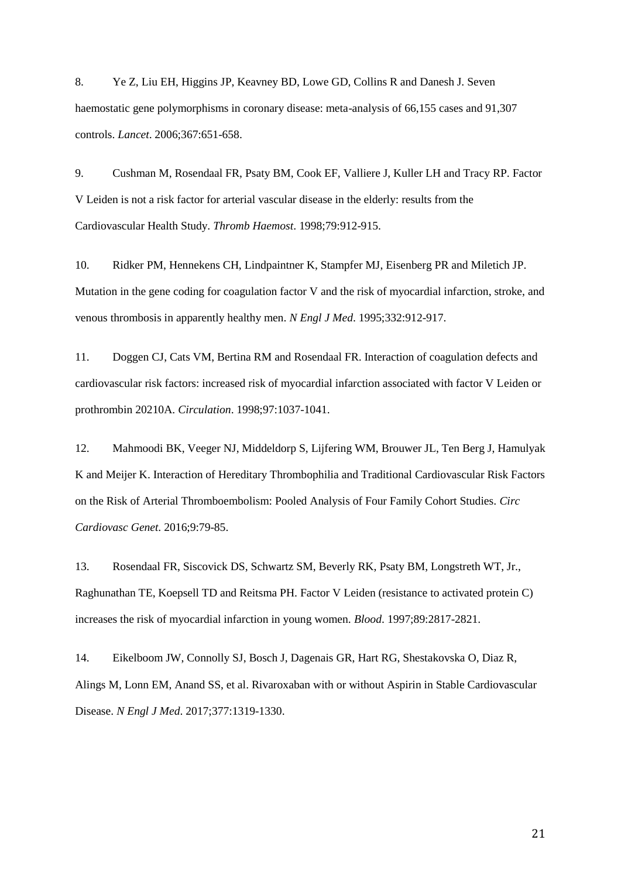<span id="page-20-2"></span>8. Ye Z, Liu EH, Higgins JP, Keavney BD, Lowe GD, Collins R and Danesh J. Seven haemostatic gene polymorphisms in coronary disease: meta-analysis of 66,155 cases and 91,307 controls. *Lancet*. 2006;367:651-658.

<span id="page-20-3"></span>9. Cushman M, Rosendaal FR, Psaty BM, Cook EF, Valliere J, Kuller LH and Tracy RP. Factor V Leiden is not a risk factor for arterial vascular disease in the elderly: results from the Cardiovascular Health Study. *Thromb Haemost*. 1998;79:912-915.

<span id="page-20-4"></span>10. Ridker PM, Hennekens CH, Lindpaintner K, Stampfer MJ, Eisenberg PR and Miletich JP. Mutation in the gene coding for coagulation factor V and the risk of myocardial infarction, stroke, and venous thrombosis in apparently healthy men. *N Engl J Med*. 1995;332:912-917.

<span id="page-20-0"></span>11. Doggen CJ, Cats VM, Bertina RM and Rosendaal FR. Interaction of coagulation defects and cardiovascular risk factors: increased risk of myocardial infarction associated with factor V Leiden or prothrombin 20210A. *Circulation*. 1998;97:1037-1041.

12. Mahmoodi BK, Veeger NJ, Middeldorp S, Lijfering WM, Brouwer JL, Ten Berg J, Hamulyak K and Meijer K. Interaction of Hereditary Thrombophilia and Traditional Cardiovascular Risk Factors on the Risk of Arterial Thromboembolism: Pooled Analysis of Four Family Cohort Studies. *Circ Cardiovasc Genet*. 2016;9:79-85.

13. Rosendaal FR, Siscovick DS, Schwartz SM, Beverly RK, Psaty BM, Longstreth WT, Jr., Raghunathan TE, Koepsell TD and Reitsma PH. Factor V Leiden (resistance to activated protein C) increases the risk of myocardial infarction in young women. *Blood*. 1997;89:2817-2821.

<span id="page-20-1"></span>14. Eikelboom JW, Connolly SJ, Bosch J, Dagenais GR, Hart RG, Shestakovska O, Diaz R, Alings M, Lonn EM, Anand SS, et al. Rivaroxaban with or without Aspirin in Stable Cardiovascular Disease. *N Engl J Med*. 2017;377:1319-1330.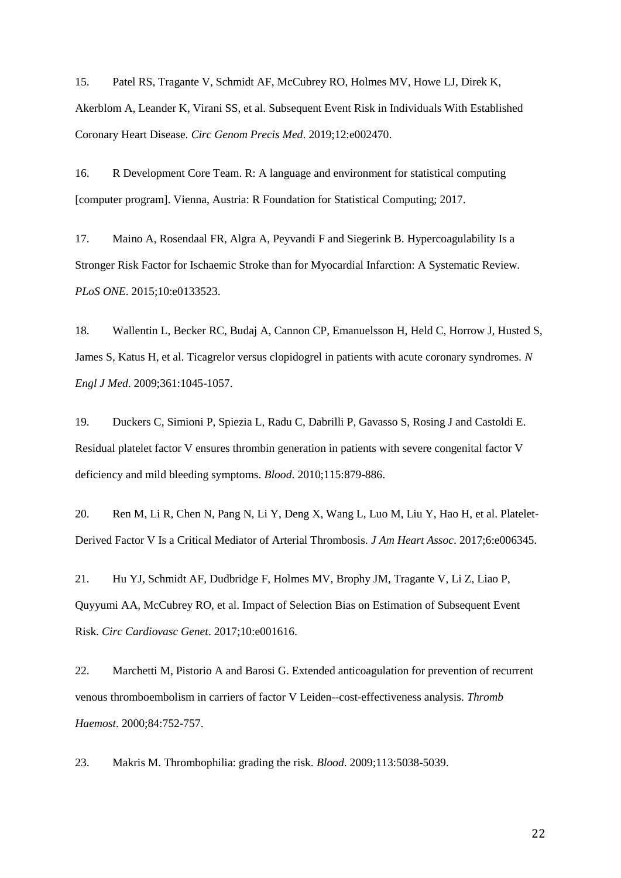<span id="page-21-0"></span>15. Patel RS, Tragante V, Schmidt AF, McCubrey RO, Holmes MV, Howe LJ, Direk K, Akerblom A, Leander K, Virani SS, et al. Subsequent Event Risk in Individuals With Established Coronary Heart Disease. *Circ Genom Precis Med*. 2019;12:e002470.

<span id="page-21-1"></span>16. R Development Core Team. R: A language and environment for statistical computing [computer program]. Vienna, Austria: R Foundation for Statistical Computing; 2017.

<span id="page-21-2"></span>17. Maino A, Rosendaal FR, Algra A, Peyvandi F and Siegerink B. Hypercoagulability Is a Stronger Risk Factor for Ischaemic Stroke than for Myocardial Infarction: A Systematic Review. *PLoS ONE*. 2015;10:e0133523.

<span id="page-21-3"></span>18. Wallentin L, Becker RC, Budaj A, Cannon CP, Emanuelsson H, Held C, Horrow J, Husted S, James S, Katus H, et al. Ticagrelor versus clopidogrel in patients with acute coronary syndromes. *N Engl J Med*. 2009;361:1045-1057.

<span id="page-21-4"></span>19. Duckers C, Simioni P, Spiezia L, Radu C, Dabrilli P, Gavasso S, Rosing J and Castoldi E. Residual platelet factor V ensures thrombin generation in patients with severe congenital factor V deficiency and mild bleeding symptoms. *Blood*. 2010;115:879-886.

<span id="page-21-5"></span>20. Ren M, Li R, Chen N, Pang N, Li Y, Deng X, Wang L, Luo M, Liu Y, Hao H, et al. Platelet-Derived Factor V Is a Critical Mediator of Arterial Thrombosis. *J Am Heart Assoc*. 2017;6:e006345.

<span id="page-21-6"></span>21. Hu YJ, Schmidt AF, Dudbridge F, Holmes MV, Brophy JM, Tragante V, Li Z, Liao P, Quyyumi AA, McCubrey RO, et al. Impact of Selection Bias on Estimation of Subsequent Event Risk. *Circ Cardiovasc Genet*. 2017;10:e001616.

<span id="page-21-7"></span>22. Marchetti M, Pistorio A and Barosi G. Extended anticoagulation for prevention of recurrent venous thromboembolism in carriers of factor V Leiden--cost-effectiveness analysis. *Thromb Haemost*. 2000;84:752-757.

<span id="page-21-8"></span>23. Makris M. Thrombophilia: grading the risk. *Blood*. 2009;113:5038-5039.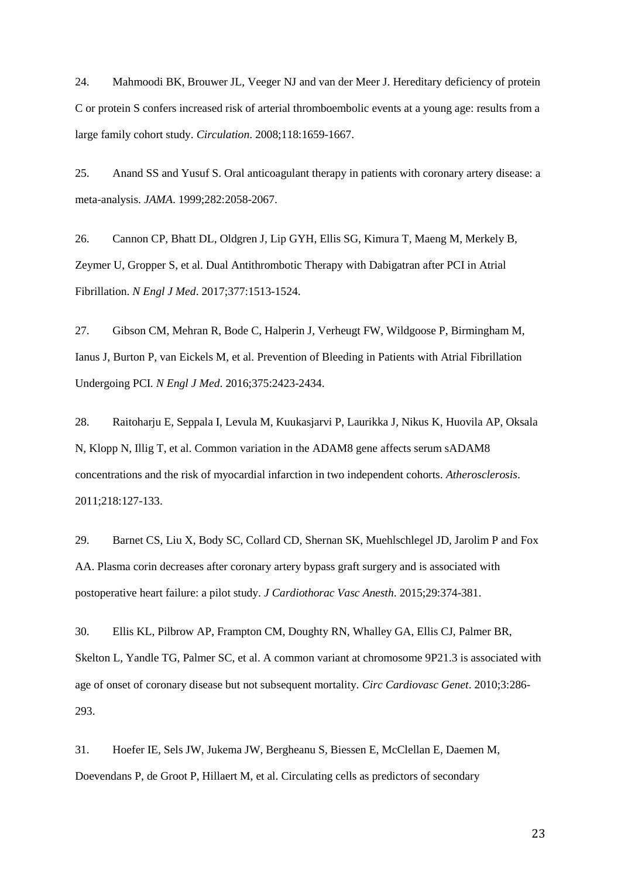<span id="page-22-0"></span>24. Mahmoodi BK, Brouwer JL, Veeger NJ and van der Meer J. Hereditary deficiency of protein C or protein S confers increased risk of arterial thromboembolic events at a young age: results from a large family cohort study. *Circulation*. 2008;118:1659-1667.

<span id="page-22-1"></span>25. Anand SS and Yusuf S. Oral anticoagulant therapy in patients with coronary artery disease: a meta-analysis. *JAMA*. 1999;282:2058-2067.

26. Cannon CP, Bhatt DL, Oldgren J, Lip GYH, Ellis SG, Kimura T, Maeng M, Merkely B, Zeymer U, Gropper S, et al. Dual Antithrombotic Therapy with Dabigatran after PCI in Atrial Fibrillation. *N Engl J Med*. 2017;377:1513-1524.

27. Gibson CM, Mehran R, Bode C, Halperin J, Verheugt FW, Wildgoose P, Birmingham M, Ianus J, Burton P, van Eickels M, et al. Prevention of Bleeding in Patients with Atrial Fibrillation Undergoing PCI. *N Engl J Med*. 2016;375:2423-2434.

<span id="page-22-2"></span>28. Raitoharju E, Seppala I, Levula M, Kuukasjarvi P, Laurikka J, Nikus K, Huovila AP, Oksala N, Klopp N, Illig T, et al. Common variation in the ADAM8 gene affects serum sADAM8 concentrations and the risk of myocardial infarction in two independent cohorts. *Atherosclerosis*. 2011;218:127-133.

29. Barnet CS, Liu X, Body SC, Collard CD, Shernan SK, Muehlschlegel JD, Jarolim P and Fox AA. Plasma corin decreases after coronary artery bypass graft surgery and is associated with postoperative heart failure: a pilot study. *J Cardiothorac Vasc Anesth*. 2015;29:374-381.

30. Ellis KL, Pilbrow AP, Frampton CM, Doughty RN, Whalley GA, Ellis CJ, Palmer BR, Skelton L, Yandle TG, Palmer SC, et al. A common variant at chromosome 9P21.3 is associated with age of onset of coronary disease but not subsequent mortality. *Circ Cardiovasc Genet*. 2010;3:286- 293.

31. Hoefer IE, Sels JW, Jukema JW, Bergheanu S, Biessen E, McClellan E, Daemen M, Doevendans P, de Groot P, Hillaert M, et al. Circulating cells as predictors of secondary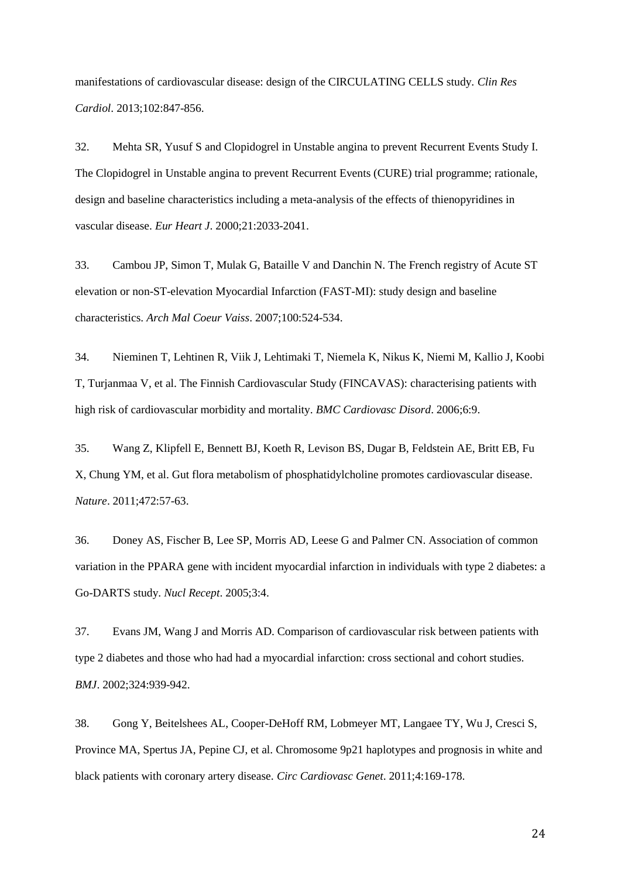manifestations of cardiovascular disease: design of the CIRCULATING CELLS study. *Clin Res Cardiol*. 2013;102:847-856.

32. Mehta SR, Yusuf S and Clopidogrel in Unstable angina to prevent Recurrent Events Study I. The Clopidogrel in Unstable angina to prevent Recurrent Events (CURE) trial programme; rationale, design and baseline characteristics including a meta-analysis of the effects of thienopyridines in vascular disease. *Eur Heart J*. 2000;21:2033-2041.

33. Cambou JP, Simon T, Mulak G, Bataille V and Danchin N. The French registry of Acute ST elevation or non-ST-elevation Myocardial Infarction (FAST-MI): study design and baseline characteristics. *Arch Mal Coeur Vaiss*. 2007;100:524-534.

34. Nieminen T, Lehtinen R, Viik J, Lehtimaki T, Niemela K, Nikus K, Niemi M, Kallio J, Koobi T, Turjanmaa V, et al. The Finnish Cardiovascular Study (FINCAVAS): characterising patients with high risk of cardiovascular morbidity and mortality. *BMC Cardiovasc Disord*. 2006;6:9.

35. Wang Z, Klipfell E, Bennett BJ, Koeth R, Levison BS, Dugar B, Feldstein AE, Britt EB, Fu X, Chung YM, et al. Gut flora metabolism of phosphatidylcholine promotes cardiovascular disease. *Nature*. 2011;472:57-63.

36. Doney AS, Fischer B, Lee SP, Morris AD, Leese G and Palmer CN. Association of common variation in the PPARA gene with incident myocardial infarction in individuals with type 2 diabetes: a Go-DARTS study. *Nucl Recept*. 2005;3:4.

37. Evans JM, Wang J and Morris AD. Comparison of cardiovascular risk between patients with type 2 diabetes and those who had had a myocardial infarction: cross sectional and cohort studies. *BMJ*. 2002;324:939-942.

38. Gong Y, Beitelshees AL, Cooper-DeHoff RM, Lobmeyer MT, Langaee TY, Wu J, Cresci S, Province MA, Spertus JA, Pepine CJ, et al. Chromosome 9p21 haplotypes and prognosis in white and black patients with coronary artery disease. *Circ Cardiovasc Genet*. 2011;4:169-178.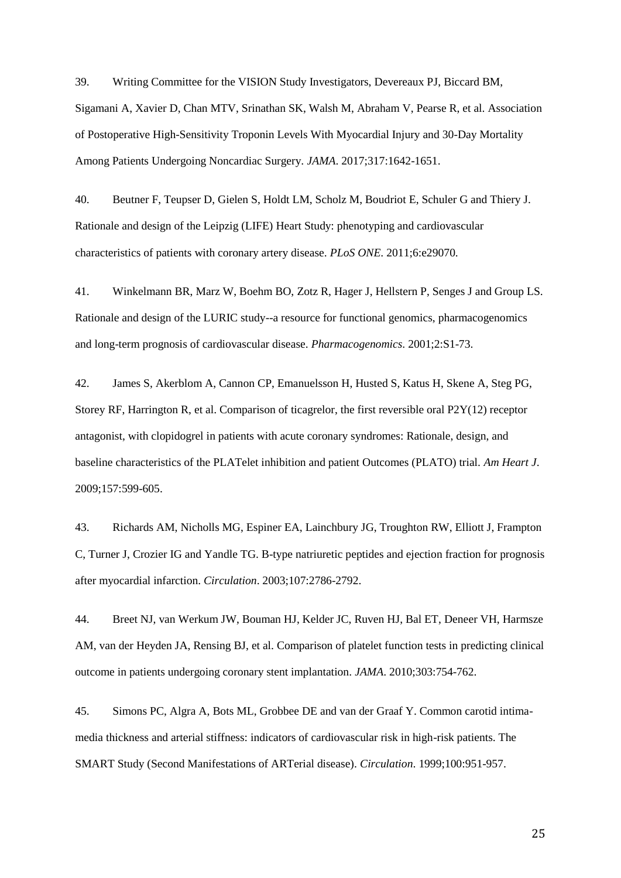39. Writing Committee for the VISION Study Investigators, Devereaux PJ, Biccard BM, Sigamani A, Xavier D, Chan MTV, Srinathan SK, Walsh M, Abraham V, Pearse R, et al. Association of Postoperative High-Sensitivity Troponin Levels With Myocardial Injury and 30-Day Mortality Among Patients Undergoing Noncardiac Surgery. *JAMA*. 2017;317:1642-1651.

40. Beutner F, Teupser D, Gielen S, Holdt LM, Scholz M, Boudriot E, Schuler G and Thiery J. Rationale and design of the Leipzig (LIFE) Heart Study: phenotyping and cardiovascular characteristics of patients with coronary artery disease. *PLoS ONE*. 2011;6:e29070.

41. Winkelmann BR, Marz W, Boehm BO, Zotz R, Hager J, Hellstern P, Senges J and Group LS. Rationale and design of the LURIC study--a resource for functional genomics, pharmacogenomics and long-term prognosis of cardiovascular disease. *Pharmacogenomics*. 2001;2:S1-73.

42. James S, Akerblom A, Cannon CP, Emanuelsson H, Husted S, Katus H, Skene A, Steg PG, Storey RF, Harrington R, et al. Comparison of ticagrelor, the first reversible oral P2Y(12) receptor antagonist, with clopidogrel in patients with acute coronary syndromes: Rationale, design, and baseline characteristics of the PLATelet inhibition and patient Outcomes (PLATO) trial. *Am Heart J*. 2009;157:599-605.

43. Richards AM, Nicholls MG, Espiner EA, Lainchbury JG, Troughton RW, Elliott J, Frampton C, Turner J, Crozier IG and Yandle TG. B-type natriuretic peptides and ejection fraction for prognosis after myocardial infarction. *Circulation*. 2003;107:2786-2792.

44. Breet NJ, van Werkum JW, Bouman HJ, Kelder JC, Ruven HJ, Bal ET, Deneer VH, Harmsze AM, van der Heyden JA, Rensing BJ, et al. Comparison of platelet function tests in predicting clinical outcome in patients undergoing coronary stent implantation. *JAMA*. 2010;303:754-762.

45. Simons PC, Algra A, Bots ML, Grobbee DE and van der Graaf Y. Common carotid intimamedia thickness and arterial stiffness: indicators of cardiovascular risk in high-risk patients. The SMART Study (Second Manifestations of ARTerial disease). *Circulation*. 1999;100:951-957.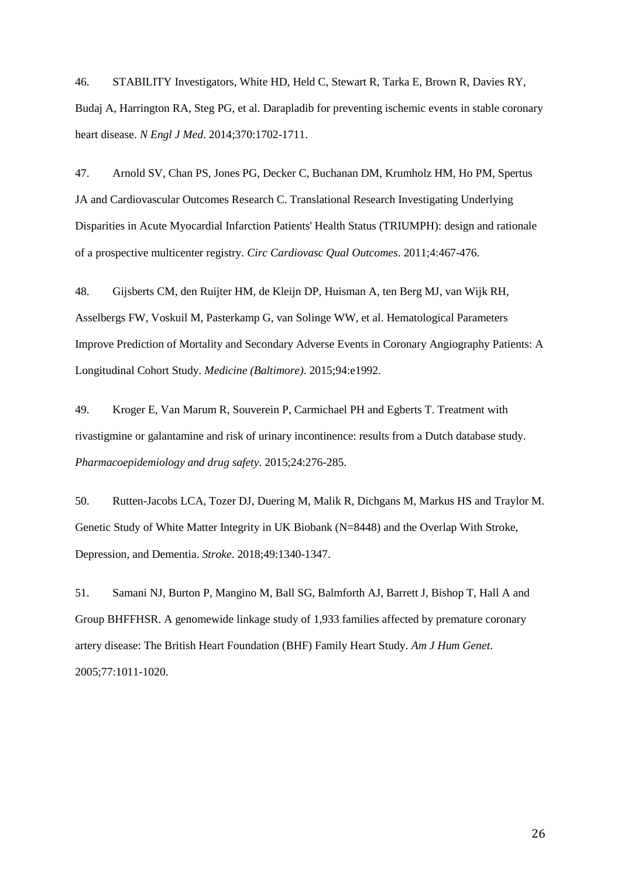46. STABILITY Investigators, White HD, Held C, Stewart R, Tarka E, Brown R, Davies RY, Budaj A, Harrington RA, Steg PG, et al. Darapladib for preventing ischemic events in stable coronary heart disease. *N Engl J Med*. 2014;370:1702-1711.

47. Arnold SV, Chan PS, Jones PG, Decker C, Buchanan DM, Krumholz HM, Ho PM, Spertus JA and Cardiovascular Outcomes Research C. Translational Research Investigating Underlying Disparities in Acute Myocardial Infarction Patients' Health Status (TRIUMPH): design and rationale of a prospective multicenter registry. *Circ Cardiovasc Qual Outcomes*. 2011;4:467-476.

48. Gijsberts CM, den Ruijter HM, de Kleijn DP, Huisman A, ten Berg MJ, van Wijk RH, Asselbergs FW, Voskuil M, Pasterkamp G, van Solinge WW, et al. Hematological Parameters Improve Prediction of Mortality and Secondary Adverse Events in Coronary Angiography Patients: A Longitudinal Cohort Study. *Medicine (Baltimore)*. 2015;94:e1992.

49. Kroger E, Van Marum R, Souverein P, Carmichael PH and Egberts T. Treatment with rivastigmine or galantamine and risk of urinary incontinence: results from a Dutch database study. *Pharmacoepidemiology and drug safety*. 2015;24:276-285.

50. Rutten-Jacobs LCA, Tozer DJ, Duering M, Malik R, Dichgans M, Markus HS and Traylor M. Genetic Study of White Matter Integrity in UK Biobank (N=8448) and the Overlap With Stroke, Depression, and Dementia. *Stroke*. 2018;49:1340-1347.

51. Samani NJ, Burton P, Mangino M, Ball SG, Balmforth AJ, Barrett J, Bishop T, Hall A and Group BHFFHSR. A genomewide linkage study of 1,933 families affected by premature coronary artery disease: The British Heart Foundation (BHF) Family Heart Study. *Am J Hum Genet*. 2005;77:1011-1020.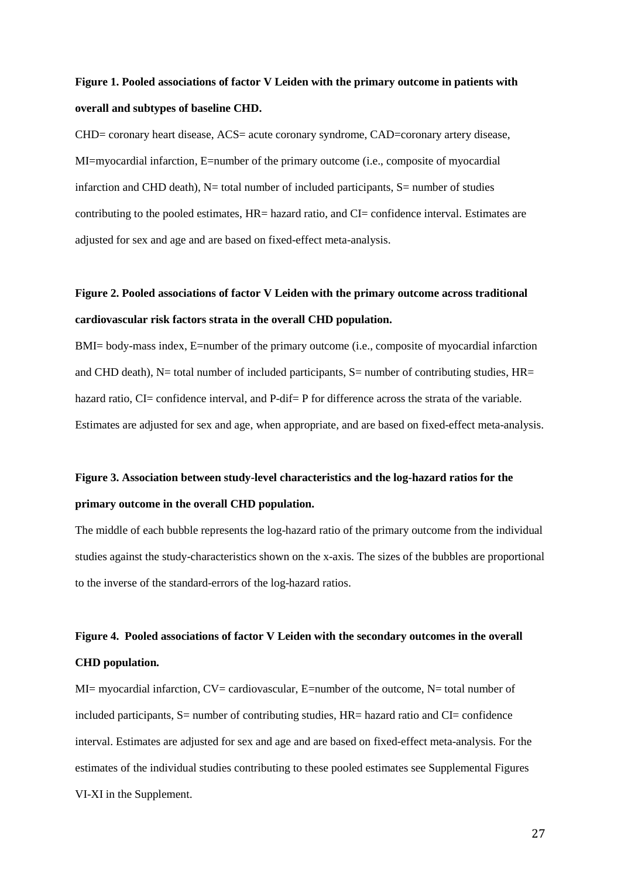# **Figure 1. Pooled associations of factor V Leiden with the primary outcome in patients with overall and subtypes of baseline CHD.**

CHD= coronary heart disease, ACS= acute coronary syndrome, CAD=coronary artery disease, MI=myocardial infarction, E=number of the primary outcome (i.e., composite of myocardial infarction and CHD death),  $N=$  total number of included participants,  $S=$  number of studies contributing to the pooled estimates, HR= hazard ratio, and CI= confidence interval. Estimates are adjusted for sex and age and are based on fixed-effect meta-analysis.

# **Figure 2. Pooled associations of factor V Leiden with the primary outcome across traditional cardiovascular risk factors strata in the overall CHD population.**

BMI= body-mass index, E=number of the primary outcome (i.e., composite of myocardial infarction and CHD death),  $N=$  total number of included participants,  $S=$  number of contributing studies,  $HR=$ hazard ratio, CI= confidence interval, and P-dif= P for difference across the strata of the variable. Estimates are adjusted for sex and age, when appropriate, and are based on fixed-effect meta-analysis.

# **Figure 3. Association between study-level characteristics and the log-hazard ratios for the primary outcome in the overall CHD population.**

The middle of each bubble represents the log-hazard ratio of the primary outcome from the individual studies against the study-characteristics shown on the x-axis. The sizes of the bubbles are proportional to the inverse of the standard-errors of the log-hazard ratios.

# **Figure 4. Pooled associations of factor V Leiden with the secondary outcomes in the overall CHD population.**

MI= myocardial infarction,  $CV =$  cardiovascular, E=number of the outcome, N= total number of included participants, S= number of contributing studies, HR= hazard ratio and CI= confidence interval. Estimates are adjusted for sex and age and are based on fixed-effect meta-analysis. For the estimates of the individual studies contributing to these pooled estimates see Supplemental Figures VI-XI in the Supplement.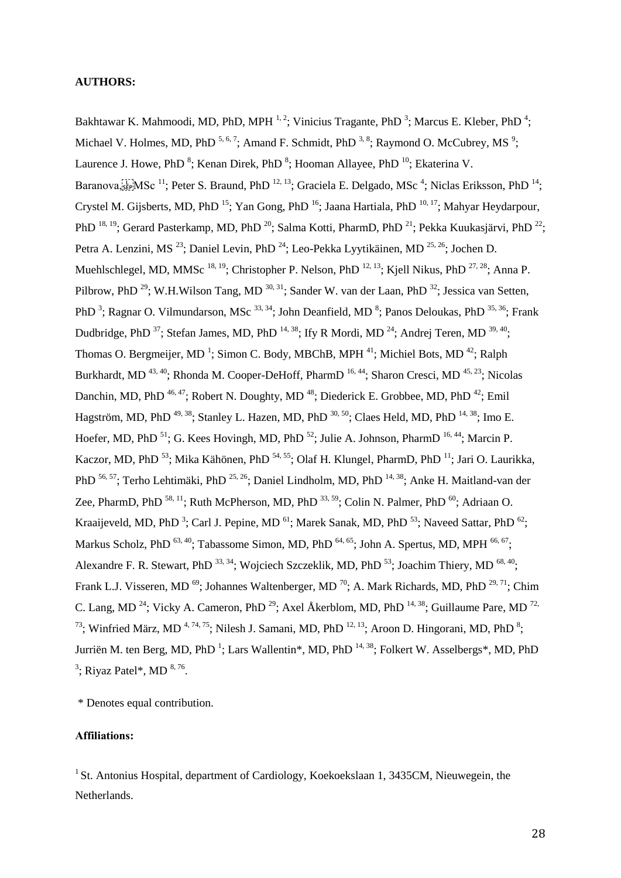#### **AUTHORS:**

Bakhtawar K. Mahmoodi, MD, PhD, MPH  $^{1,2}$ ; Vinicius Tragante, PhD  $^{3}$ ; Marcus E. Kleber, PhD  $^{4}$ ; Michael V. Holmes, MD, PhD  $^{5,6,7}$ ; Amand F. Schmidt, PhD  $^{3,8}$ ; Raymond O. McCubrey, MS  $^{9}$ ; Laurence J. Howe, PhD<sup>8</sup>; Kenan Direk, PhD<sup>8</sup>; Hooman Allayee, PhD<sup>10</sup>; Ekaterina V. Baranova,  $\sum_{i=1}^{N} MSc^{-11}$ ; Peter S. Braund, PhD  $^{12, 13}$ ; Graciela E. Delgado, MSc<sup>4</sup>; Niclas Eriksson, PhD  $^{14}$ ; Crystel M. Gijsberts, MD, PhD<sup>15</sup>; Yan Gong, PhD<sup>16</sup>; Jaana Hartiala, PhD<sup>10, 17</sup>; Mahyar Heydarpour, PhD  $^{18, 19}$ ; Gerard Pasterkamp, MD, PhD  $^{20}$ ; Salma Kotti, PharmD, PhD  $^{21}$ ; Pekka Kuukasjärvi, PhD  $^{22}$ ; Petra A. Lenzini, MS<sup>23</sup>; Daniel Levin, PhD<sup>24</sup>; Leo-Pekka Lyytikäinen, MD<sup>25, 26</sup>; Jochen D. Muehlschlegel, MD, MMSc  $^{18, 19}$ ; Christopher P. Nelson, PhD  $^{12, 13}$ ; Kjell Nikus, PhD  $^{27, 28}$ ; Anna P. Pilbrow, PhD<sup>29</sup>; W.H.Wilson Tang, MD<sup>30, 31</sup>; Sander W. van der Laan, PhD<sup>32</sup>; Jessica van Setten, PhD<sup>3</sup>; Ragnar O. Vilmundarson, MSc<sup>33, 34</sup>; John Deanfield, MD<sup>8</sup>; Panos Deloukas, PhD<sup>35, 36</sup>; Frank Dudbridge, PhD<sup>37</sup>; Stefan James, MD, PhD<sup>14, 38</sup>; Ify R Mordi, MD<sup>24</sup>; Andrej Teren, MD<sup>39, 40</sup>; Thomas O. Bergmeijer, MD<sup>1</sup>; Simon C. Body, MBChB, MPH<sup>41</sup>; Michiel Bots, MD<sup>42</sup>; Ralph Burkhardt, MD<sup>43, 40</sup>; Rhonda M. Cooper-DeHoff, PharmD<sup>16, 44</sup>; Sharon Cresci, MD<sup>45, 23</sup>; Nicolas Danchin, MD, PhD <sup>46, 47</sup>; Robert N. Doughty, MD <sup>48</sup>; Diederick E. Grobbee, MD, PhD <sup>42</sup>; Emil Hagström, MD, PhD  $^{49,38}$ ; Stanley L. Hazen, MD, PhD  $^{30,50}$ ; Claes Held, MD, PhD  $^{14,38}$ ; Imo E. Hoefer, MD, PhD<sup>51</sup>; G. Kees Hovingh, MD, PhD<sup>52</sup>; Julie A. Johnson, PharmD<sup>16, 44</sup>; Marcin P. Kaczor, MD, PhD<sup>53</sup>; Mika Kähönen, PhD<sup>54, 55</sup>; Olaf H. Klungel, PharmD, PhD<sup>11</sup>; Jari O. Laurikka, PhD <sup>56, 57</sup>; Terho Lehtimäki, PhD <sup>25, 26</sup>; Daniel Lindholm, MD, PhD <sup>14, 38</sup>; Anke H. Maitland-van der Zee, PharmD, PhD  $^{58, 11}$ ; Ruth McPherson, MD, PhD  $^{33, 59}$ ; Colin N. Palmer, PhD  $^{60}$ ; Adriaan O. Kraaijeveld, MD, PhD<sup>3</sup>; Carl J. Pepine, MD<sup>61</sup>; Marek Sanak, MD, PhD<sup>53</sup>; Naveed Sattar, PhD<sup>62</sup>; Markus Scholz, PhD  $^{63, 40}$ ; Tabassome Simon, MD, PhD  $^{64, 65}$ ; John A. Spertus, MD, MPH  $^{66, 67}$ ; Alexandre F. R. Stewart, PhD  $^{33, 34}$ ; Wojciech Szczeklik, MD, PhD  $^{53}$ ; Joachim Thiery, MD  $^{68, 40}$ ; Frank L.J. Visseren, MD<sup>69</sup>; Johannes Waltenberger, MD<sup>70</sup>; A. Mark Richards, MD, PhD<sup>29, 71</sup>; Chim C. Lang, MD<sup>24</sup>; Vicky A. Cameron, PhD<sup>29</sup>; Axel Åkerblom, MD, PhD<sup>14, 38</sup>; Guillaume Pare, MD<sup>72,</sup> <sup>73</sup>; Winfried März, MD<sup>4, 74, 75</sup>; Nilesh J. Samani, MD, PhD<sup>12, 13</sup>; Aroon D. Hingorani, MD, PhD<sup>8</sup>; Jurriën M. ten Berg, MD, PhD<sup>1</sup>; Lars Wallentin\*, MD, PhD<sup>14, 38</sup>; Folkert W. Asselbergs\*, MD, PhD  $3$ ; Riyaz Patel\*, MD  $8,76$ .

\* Denotes equal contribution.

## **Affiliations:**

<sup>1</sup> St. Antonius Hospital, department of Cardiology, Koekoekslaan 1, 3435CM, Nieuwegein, the Netherlands.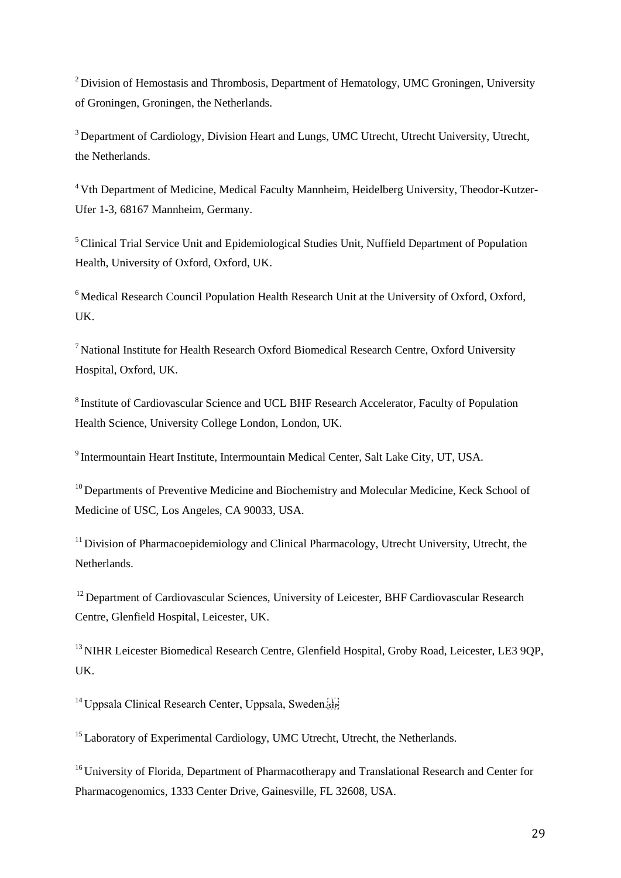<sup>2</sup> Division of Hemostasis and Thrombosis, Department of Hematology, UMC Groningen, University of Groningen, Groningen, the Netherlands.

<sup>3</sup> Department of Cardiology, Division Heart and Lungs, UMC Utrecht, Utrecht University, Utrecht, the Netherlands.

<sup>4</sup> Vth Department of Medicine, Medical Faculty Mannheim, Heidelberg University, Theodor-Kutzer-Ufer 1-3, 68167 Mannheim, Germany.

<sup>5</sup> Clinical Trial Service Unit and Epidemiological Studies Unit, Nuffield Department of Population Health, University of Oxford, Oxford, UK.

 $6$ Medical Research Council Population Health Research Unit at the University of Oxford, Oxford, UK.

<sup>7</sup>National Institute for Health Research Oxford Biomedical Research Centre, Oxford University Hospital, Oxford, UK.

<sup>8</sup> Institute of Cardiovascular Science and UCL BHF Research Accelerator, Faculty of Population Health Science, University College London, London, UK.

<sup>9</sup> Intermountain Heart Institute, Intermountain Medical Center, Salt Lake City, UT, USA.

 $10$  Departments of Preventive Medicine and Biochemistry and Molecular Medicine, Keck School of Medicine of USC, Los Angeles, CA 90033, USA.

<sup>11</sup> Division of Pharmacoepidemiology and Clinical Pharmacology, Utrecht University, Utrecht, the Netherlands.

<sup>12</sup> Department of Cardiovascular Sciences, University of Leicester, BHF Cardiovascular Research Centre, Glenfield Hospital, Leicester, UK.

<sup>13</sup> NIHR Leicester Biomedical Research Centre, Glenfield Hospital, Groby Road, Leicester, LE3 9OP, UK.

<sup>14</sup> Uppsala Clinical Research Center, Uppsala, Sweden.

<sup>15</sup> Laboratory of Experimental Cardiology, UMC Utrecht, Utrecht, the Netherlands.

<sup>16</sup> University of Florida, Department of Pharmacotherapy and Translational Research and Center for Pharmacogenomics, 1333 Center Drive, Gainesville, FL 32608, USA.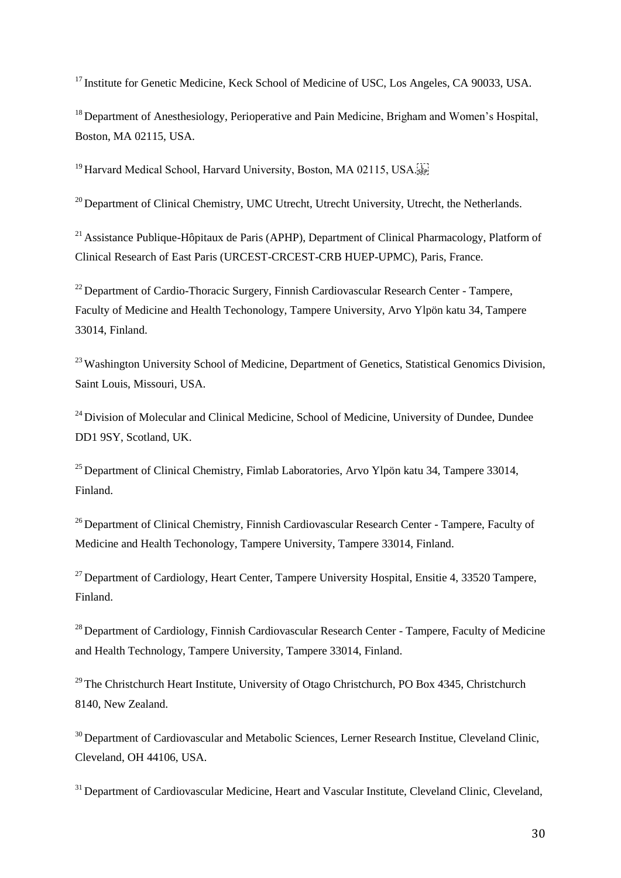<sup>17</sup> Institute for Genetic Medicine, Keck School of Medicine of USC, Los Angeles, CA 90033, USA.

<sup>18</sup> Department of Anesthesiology, Perioperative and Pain Medicine, Brigham and Women's Hospital, Boston, MA 02115, USA.

<sup>19</sup> Harvard Medical School, Harvard University, Boston, MA 02115, USA.

 $20$  Department of Clinical Chemistry, UMC Utrecht, Utrecht University, Utrecht, the Netherlands.

<sup>21</sup> Assistance Publique-Hôpitaux de Paris (APHP), Department of Clinical Pharmacology, Platform of Clinical Research of East Paris (URCEST-CRCEST-CRB HUEP-UPMC), Paris, France.

 $^{22}$  Department of Cardio-Thoracic Surgery, Finnish Cardiovascular Research Center - Tampere, Faculty of Medicine and Health Techonology, Tampere University, Arvo Ylpön katu 34, Tampere 33014, Finland.

<sup>23</sup> Washington University School of Medicine, Department of Genetics, Statistical Genomics Division, Saint Louis, Missouri, USA.

 $24$  Division of Molecular and Clinical Medicine, School of Medicine, University of Dundee, Dundee DD1 9SY, Scotland, UK.

 $25$  Department of Clinical Chemistry, Fimlab Laboratories, Arvo Ylpön katu 34, Tampere 33014, Finland.

<sup>26</sup> Department of Clinical Chemistry, Finnish Cardiovascular Research Center - Tampere, Faculty of Medicine and Health Techonology, Tampere University, Tampere 33014, Finland.

 $27$  Department of Cardiology, Heart Center, Tampere University Hospital, Ensitie 4, 33520 Tampere, Finland.

<sup>28</sup> Department of Cardiology, Finnish Cardiovascular Research Center - Tampere, Faculty of Medicine and Health Technology, Tampere University, Tampere 33014, Finland.

 $29$  The Christchurch Heart Institute, University of Otago Christchurch, PO Box 4345, Christchurch 8140, New Zealand.

<sup>30</sup> Department of Cardiovascular and Metabolic Sciences, Lerner Research Institue, Cleveland Clinic, Cleveland, OH 44106, USA.

<sup>31</sup> Department of Cardiovascular Medicine, Heart and Vascular Institute, Cleveland Clinic, Cleveland,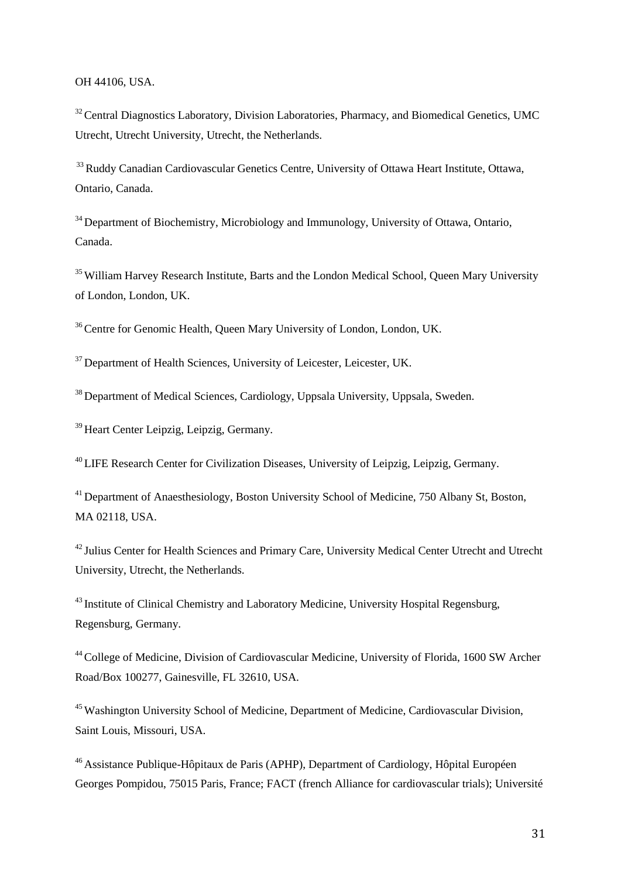## OH 44106, USA.

 $32$  Central Diagnostics Laboratory, Division Laboratories, Pharmacy, and Biomedical Genetics, UMC Utrecht, Utrecht University, Utrecht, the Netherlands.

<sup>33</sup> Ruddy Canadian Cardiovascular Genetics Centre, University of Ottawa Heart Institute, Ottawa, Ontario, Canada.

<sup>34</sup> Department of Biochemistry, Microbiology and Immunology, University of Ottawa, Ontario, Canada.

<sup>35</sup> William Harvey Research Institute, Barts and the London Medical School, Queen Mary University of London, London, UK.

<sup>36</sup> Centre for Genomic Health, Queen Mary University of London, London, UK.

<sup>37</sup> Department of Health Sciences, University of Leicester, Leicester, UK.

<sup>38</sup> Department of Medical Sciences, Cardiology, Uppsala University, Uppsala, Sweden.

<sup>39</sup> Heart Center Leipzig, Leipzig, Germany.

<sup>40</sup>LIFE Research Center for Civilization Diseases, University of Leipzig, Leipzig, Germany.

<sup>41</sup> Department of Anaesthesiology, Boston University School of Medicine, 750 Albany St, Boston, MA 02118, USA.

<sup>42</sup> Julius Center for Health Sciences and Primary Care, University Medical Center Utrecht and Utrecht University, Utrecht, the Netherlands.

<sup>43</sup> Institute of Clinical Chemistry and Laboratory Medicine, University Hospital Regensburg, Regensburg, Germany.

<sup>44</sup>College of Medicine, Division of Cardiovascular Medicine, University of Florida, 1600 SW Archer Road/Box 100277, Gainesville, FL 32610, USA.

<sup>45</sup> Washington University School of Medicine, Department of Medicine, Cardiovascular Division, Saint Louis, Missouri, USA.

<sup>46</sup> Assistance Publique-Hôpitaux de Paris (APHP), Department of Cardiology, Hôpital Européen Georges Pompidou, 75015 Paris, France; FACT (french Alliance for cardiovascular trials); Université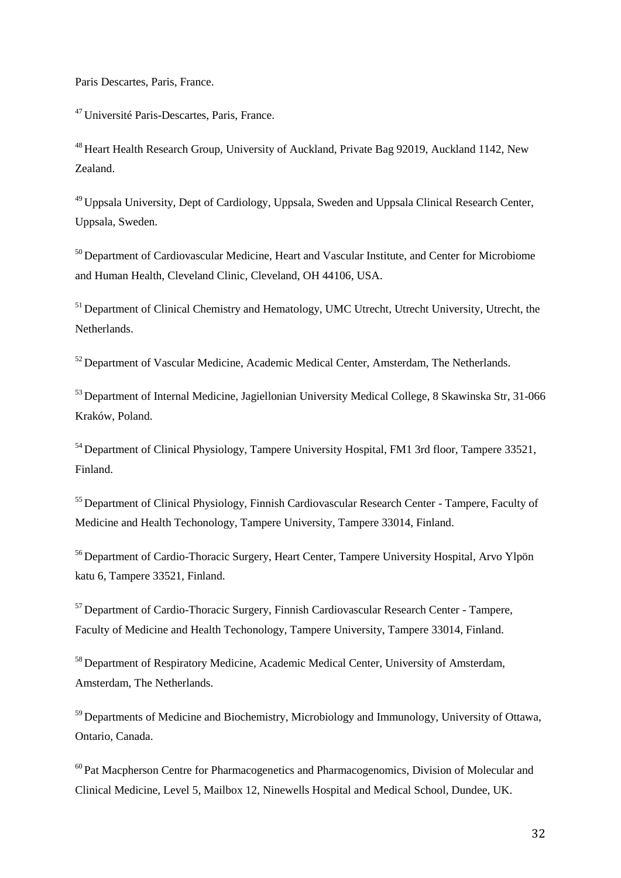Paris Descartes, Paris, France.

<sup>47</sup>Université Paris-Descartes, Paris, France.

<sup>48</sup> Heart Health Research Group, University of Auckland, Private Bag 92019, Auckland 1142, New Zealand.

<sup>49</sup>Uppsala University, Dept of Cardiology, Uppsala, Sweden and Uppsala Clinical Research Center, Uppsala, Sweden.

<sup>50</sup> Department of Cardiovascular Medicine, Heart and Vascular Institute, and Center for Microbiome and Human Health, Cleveland Clinic, Cleveland, OH 44106, USA.

<sup>51</sup> Department of Clinical Chemistry and Hematology, UMC Utrecht, Utrecht University, Utrecht, the Netherlands.

<sup>52</sup> Department of Vascular Medicine, Academic Medical Center, Amsterdam, The Netherlands.

<sup>53</sup> Department of Internal Medicine, Jagiellonian University Medical College, 8 Skawinska Str, 31-066 Kraków, Poland.

<sup>54</sup> Department of Clinical Physiology, Tampere University Hospital, FM1 3rd floor, Tampere 33521, Finland.

<sup>55</sup> Department of Clinical Physiology, Finnish Cardiovascular Research Center - Tampere, Faculty of Medicine and Health Techonology, Tampere University, Tampere 33014, Finland.

<sup>56</sup> Department of Cardio-Thoracic Surgery, Heart Center, Tampere University Hospital, Arvo Ylpön katu 6, Tampere 33521, Finland.

<sup>57</sup>Department of Cardio-Thoracic Surgery, Finnish Cardiovascular Research Center - Tampere, Faculty of Medicine and Health Techonology, Tampere University, Tampere 33014, Finland.

<sup>58</sup> Department of Respiratory Medicine, Academic Medical Center, University of Amsterdam, Amsterdam, The Netherlands.

<sup>59</sup> Departments of Medicine and Biochemistry, Microbiology and Immunology, University of Ottawa, Ontario, Canada.

 $60$  Pat Macpherson Centre for Pharmacogenetics and Pharmacogenomics, Division of Molecular and Clinical Medicine, Level 5, Mailbox 12, Ninewells Hospital and Medical School, Dundee, UK.